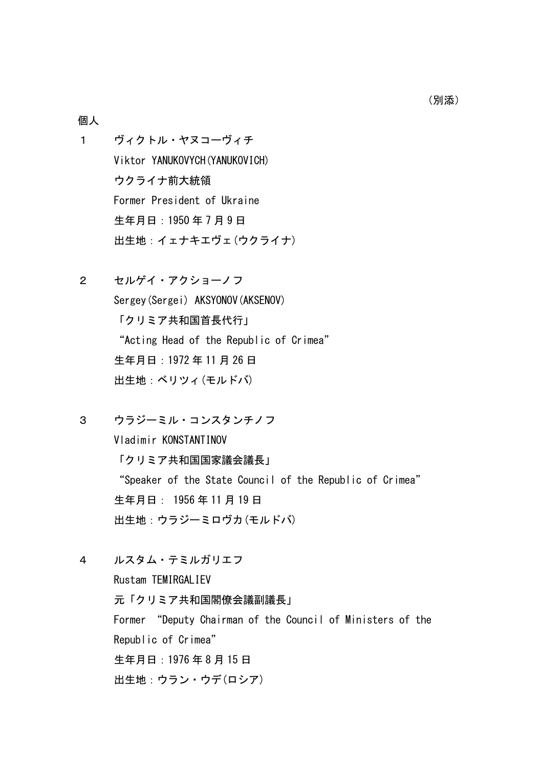#### 個人

- 1 ヴィクトル・ヤヌコーヴィチ Viktor YANUKOVYCH(YANUKOVICH) ウクライナ前大統領 Former President of Ukraine 生年月日:1950 年 7 月 9 日 出生地:イェナキエヴェ(ウクライナ)
- 2 セルゲイ・アクショーノフ Sergey(Sergei) AKSYONOV(AKSENOV) 「クリミア共和国首長代行」 "Acting Head of the Republic of Crimea" 生年月日:1972 年 11 月 26 日 出生地:ベリツィ(モルドバ)
- 3 ウラジーミル・コンスタンチノフ Vladimir KONSTANTINOV 「クリミア共和国国家議会議長」 "Speaker of the State Council of the Republic of Crimea" 生年月日: 1956 年 11 月 19 日 出生地:ウラジーミロヴカ(モルドバ)
- 4 ルスタム・テミルガリエフ

Rustam TEMIRGALIEV 元「クリミア共和国閣僚会議副議長」 Former "Deputy Chairman of the Council of Ministers of the Republic of Crimea" 生年月日:1976 年 8 月 15 日 出生地:ウラン・ウデ(ロシア)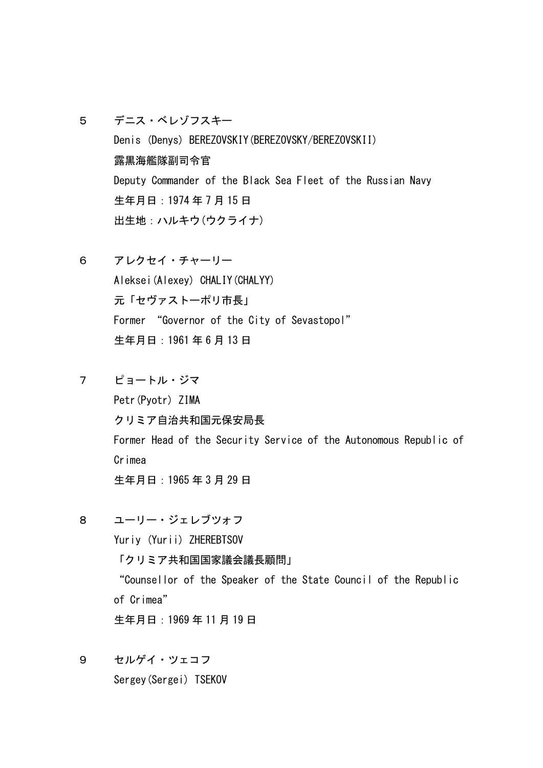- 5 デニス・ベレゾフスキー Denis (Denys) BEREZOVSKIY(BEREZOVSKY/BEREZOVSKII) 露黒海艦隊副司令官 Deputy Commander of the Black Sea Fleet of the Russian Navy 生年月日:1974 年 7 月 15 日 出生地:ハルキウ(ウクライナ)
- 6 アレクセイ・チャーリー Aleksei(Alexey) CHALIY(CHALYY) 元「セヴァストーポリ市長」 Former "Governor of the City of Sevastopol" 生年月日:1961 年 6 月 13 日
- 7 ピョートル・ジマ Petr(Pyotr) ZIMA クリミア自治共和国元保安局長 Former Head of the Security Service of the Autonomous Republic of Crimea 生年月日:1965 年 3 月 29 日
- 8 ユーリー・ジェレブツォフ Yuriy (Yurii) ZHEREBTSOV 「クリミア共和国国家議会議長顧問」 "Counsellor of the Speaker of the State Council of the Republic of Crimea" 生年月日:1969 年 11 月 19 日
- 9 セルゲイ・ツェコフ

Sergey(Sergei) TSEKOV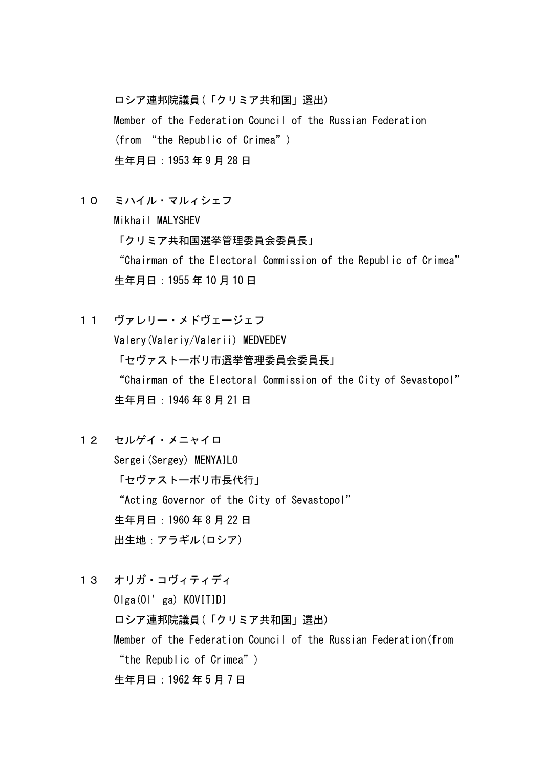ロシア連邦院議員(「クリミア共和国」選出) Member of the Federation Council of the Russian Federation (from "the Republic of Crimea") 生年月日:1953 年 9 月 28 日

10 ミハイル・マルィシェフ

Mikhail MALYSHEV 「クリミア共和国選挙管理委員会委員長」 "Chairman of the Electoral Commission of the Republic of Crimea" 生年月日:1955 年 10 月 10 日

- 11 ヴァレリー・メドヴェージェフ Valery(Valeriy/Valerii) MEDVEDEV 「セヴァストーポリ市選挙管理委員会委員長」 "Chairman of the Electoral Commission of the City of Sevastopol" 生年月日:1946 年 8 月 21 日
- 12 セルゲイ・メニャイロ Sergei(Sergey) MENYAILO 「セヴァストーポリ市長代行」 "Acting Governor of the City of Sevastopol" 生年月日:1960 年 8 月 22 日 出生地:アラギル(ロシア)
- 13 オリガ・コヴィティディ Olga(Ol'ga) KOVITIDI ロシア連邦院議員(「クリミア共和国」選出) Member of the Federation Council of the Russian Federation(from "the Republic of Crimea") 生年月日:1962 年 5 月 7 日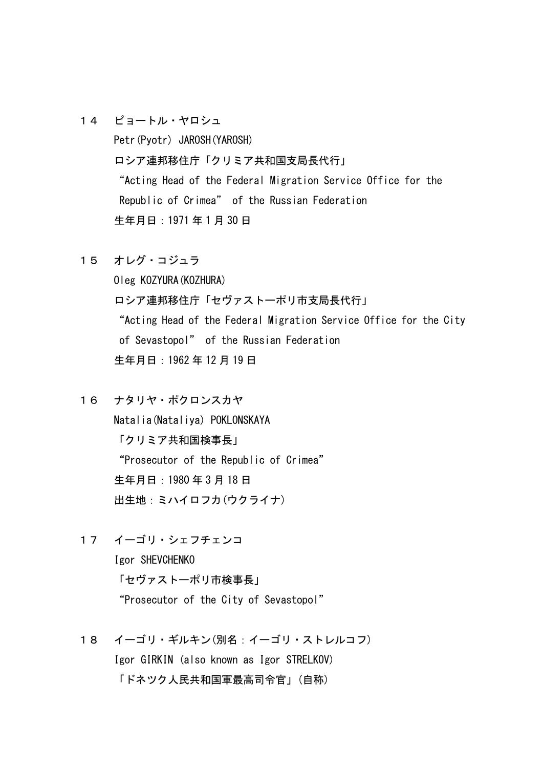- 14 ピョートル・ヤロシュ Petr(Pyotr) JAROSH(YAROSH) ロシア連邦移住庁「クリミア共和国支局長代行」 "Acting Head of the Federal Migration Service Office for the Republic of Crimea" of the Russian Federation 生年月日:1971 年 1 月 30 日
- 15 オレグ・コジュラ

Oleg KOZYURA(KOZHURA) ロシア連邦移住庁「セヴァストーポリ市支局長代行」 "Acting Head of the Federal Migration Service Office for the City of Sevastopol" of the Russian Federation 生年月日:1962 年 12 月 19 日

- 16 ナタリヤ・ポクロンスカヤ Natalia(Nataliya) POKLONSKAYA 「クリミア共和国検事長」 "Prosecutor of the Republic of Crimea" 生年月日:1980 年 3 月 18 日 出生地:ミハイロフカ(ウクライナ)
- 17 イーゴリ・シェフチェンコ Igor SHEVCHENKO 「セヴァストーポリ市検事長」 "Prosecutor of the City of Sevastopol"
- 18 イーゴリ・ギルキン(別名:イーゴリ・ストレルコフ) Igor GIRKIN (also known as Igor STRELKOV) 「ドネツク人民共和国軍最高司令官」(自称)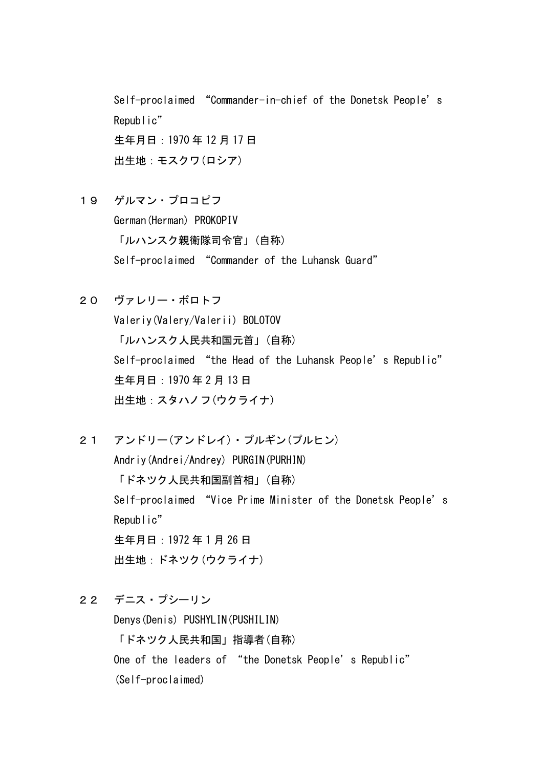Self-proclaimed "Commander-in-chief of the Donetsk People's Republic" 生年月日:1970 年 12 月 17 日 出生地:モスクワ(ロシア)

19 ゲルマン・プロコピフ German(Herman) PROKOPIV 「ルハンスク親衛隊司令官」(自称) Self-proclaimed "Commander of the Luhansk Guard"

20 ヴァレリー・ボロトフ Valeriy(Valery/Valerii) BOLOTOV 「ルハンスク人民共和国元首」(自称) Self-proclaimed "the Head of the Luhansk People's Republic" 生年月日:1970 年 2 月 13 日 出生地:スタハノフ(ウクライナ)

21 アンドリー(アンドレイ)・プルギン(プルヒン) Andriy(Andrei/Andrey) PURGIN(PURHIN) 「ドネツク人民共和国副首相」(自称) Self-proclaimed "Vice Prime Minister of the Donetsk People's Republic" 生年月日:1972 年 1 月 26 日 出生地:ドネツク(ウクライナ)

22 デニス・プシーリン

Denys(Denis) PUSHYLIN(PUSHILIN) 「ドネツク人民共和国」指導者(自称) One of the leaders of "the Donetsk People's Republic" (Self-proclaimed)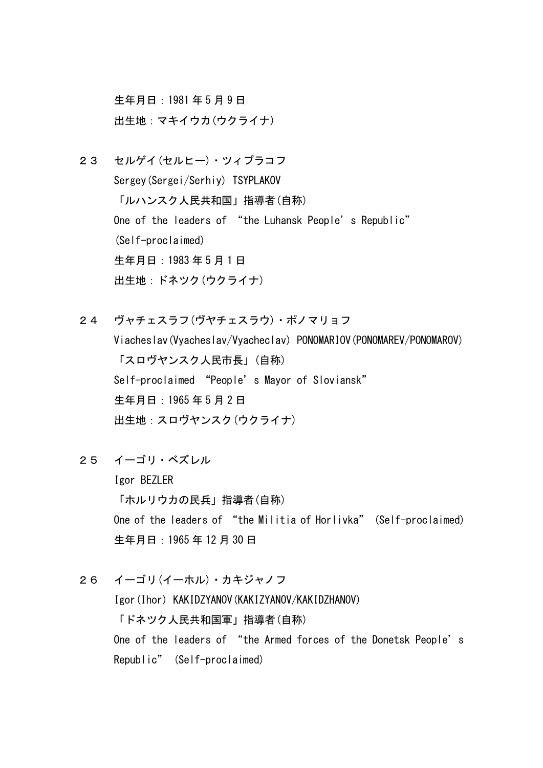生年月日:1981 年 5 月 9 日 出生地:マキイウカ(ウクライナ)

- 23 セルゲイ(セルヒー)・ツィプラコフ Sergey(Sergei/Serhiy) TSYPLAKOV 「ルハンスク人民共和国」指導者(自称) One of the leaders of "the Luhansk People's Republic" (Self-proclaimed) 生年月日:1983 年 5 月 1 日 出生地:ドネツク(ウクライナ)
- 24 ヴャチェスラフ(ヴヤチェスラウ)・ポノマリョフ Viacheslav(Vyacheslav/Vyacheclav) PONOMARIOV(PONOMAREV/PONOMAROV) 「スロヴヤンスク人民市長」(自称) Self-proclaimed "People's Mayor of Sloviansk" 生年月日:1965 年 5 月 2 日 出生地:スロヴヤンスク(ウクライナ)
- 25 イーゴリ・ベズレル

Igor BEZLER 「ホルリウカの民兵」指導者(自称) One of the leaders of "the Militia of Horlivka" (Self-proclaimed) 生年月日:1965 年 12 月 30 日

26 イーゴリ(イーホル)・カキジャノフ Igor(Ihor) KAKIDZYANOV(KAKIZYANOV/KAKIDZHANOV) 「ドネツク人民共和国軍」指導者(自称) One of the leaders of "the Armed forces of the Donetsk People's Republic" (Self-proclaimed)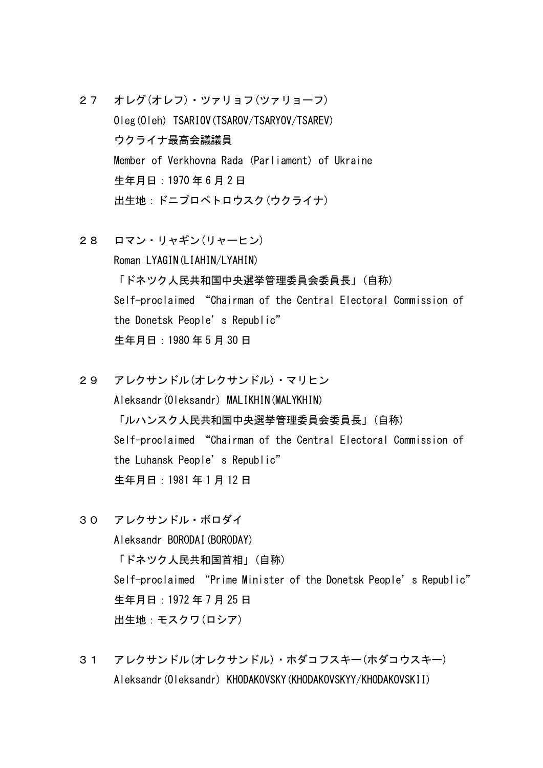- 27 オレグ(オレフ)・ツァリョフ(ツァリョーフ) Oleg(Oleh) TSARIOV(TSAROV/TSARYOV/TSAREV) ウクライナ最高会議議員 Member of Verkhovna Rada (Parliament) of Ukraine 生年月日:1970 年 6 月 2 日 出生地:ドニプロペトロウスク(ウクライナ)
- 28 ロマン・リャギン(リャーヒン) Roman LYAGIN(LIAHIN/LYAHIN) 「ドネツク人民共和国中央選挙管理委員会委員長」(自称) Self-proclaimed "Chairman of the Central Electoral Commission of the Donetsk People's Republic" 生年月日:1980 年 5 月 30 日
- 29 アレクサンドル(オレクサンドル)・マリヒン Aleksandr(Oleksandr) MALIKHIN(MALYKHIN) 「ルハンスク人民共和国中央選挙管理委員会委員長」(自称) Self-proclaimed "Chairman of the Central Electoral Commission of the Luhansk People's Republic" 生年月日:1981 年 1 月 12 日
- 30 アレクサンドル・ボロダイ Aleksandr BORODAI(BORODAY) 「ドネツク人民共和国首相」(自称) Self-proclaimed "Prime Minister of the Donetsk People's Republic" 生年月日:1972 年 7 月 25 日 出生地:モスクワ(ロシア)
- 31 アレクサンドル(オレクサンドル)・ホダコフスキー(ホダコウスキー) Aleksandr(Oleksandr) KHODAKOVSKY(KHODAKOVSKYY/KHODAKOVSKII)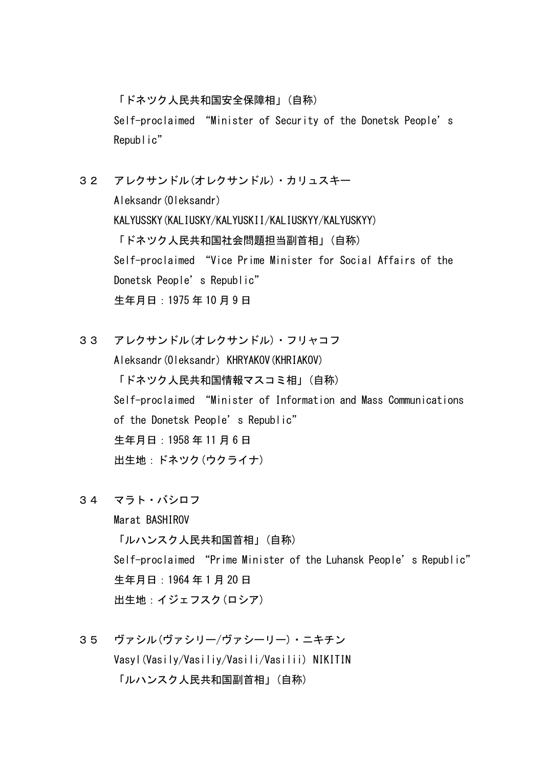「ドネツク人民共和国安全保障相」(自称) Self-proclaimed "Minister of Security of the Donetsk People's Republic"

32 アレクサンドル(オレクサンドル)・カリュスキー Aleksandr(Oleksandr) KALYUSSKY(KALIUSKY/KALYUSKII/KALIUSKYY/KALYUSKYY) 「ドネツク人民共和国社会問題担当副首相」(自称) Self-proclaimed "Vice Prime Minister for Social Affairs of the Donetsk People's Republic" 生年月日:1975 年 10 月 9 日

33 アレクサンドル(オレクサンドル)・フリャコフ Aleksandr(Oleksandr) KHRYAKOV(KHRIAKOV) 「ドネツク人民共和国情報マスコミ相」(自称) Self-proclaimed "Minister of Information and Mass Communications of the Donetsk People's Republic" 生年月日:1958 年 11 月 6 日 出生地:ドネツク(ウクライナ)

34 マラト・バシロフ

Marat BASHIROV 「ルハンスク人民共和国首相」(自称) Self-proclaimed "Prime Minister of the Luhansk People's Republic" 生年月日:1964 年 1 月 20 日 出生地:イジェフスク(ロシア)

35 ヴァシル(ヴァシリー/ヴァシーリー)・ニキチン Vasyl(Vasily/Vasiliy/Vasili/Vasilii) NIKITIN 「ルハンスク人民共和国副首相」(自称)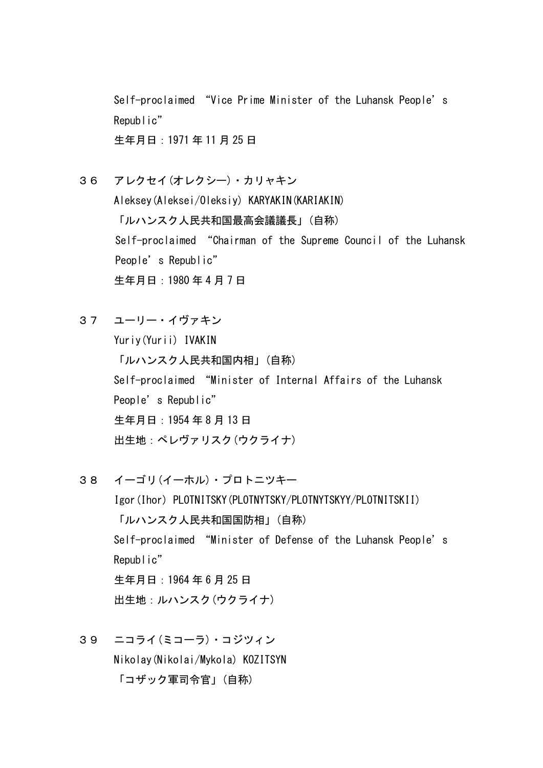Self-proclaimed "Vice Prime Minister of the Luhansk People's Republic" 生年月日:1971 年 11 月 25 日

36 アレクセイ(オレクシー)・カリャキン Aleksey(Aleksei/Oleksiy) KARYAKIN(KARIAKIN) 「ルハンスク人民共和国最高会議議長」(自称) Self-proclaimed "Chairman of the Supreme Council of the Luhansk People's Republic" 生年月日:1980 年 4 月 7 日

37 ユーリー・イヴァキン Yuriy(Yurii) IVAKIN 「ルハンスク人民共和国内相」(自称) Self-proclaimed "Minister of Internal Affairs of the Luhansk People's Republic" 生年月日:1954 年 8 月 13 日 出生地:ペレヴァリスク(ウクライナ)

- 38 イーゴリ(イーホル)・プロトニツキー Igor(Ihor) PLOTNITSKY(PLOTNYTSKY/PLOTNYTSKYY/PLOTNITSKII) 「ルハンスク人民共和国国防相」(自称) Self-proclaimed "Minister of Defense of the Luhansk People's Republic" 生年月日:1964 年 6 月 25 日 出生地:ルハンスク(ウクライナ)
- 39 ニコライ(ミコーラ)・コジツィン Nikolay(Nikolai/Mykola) KOZITSYN 「コザック軍司令官」(自称)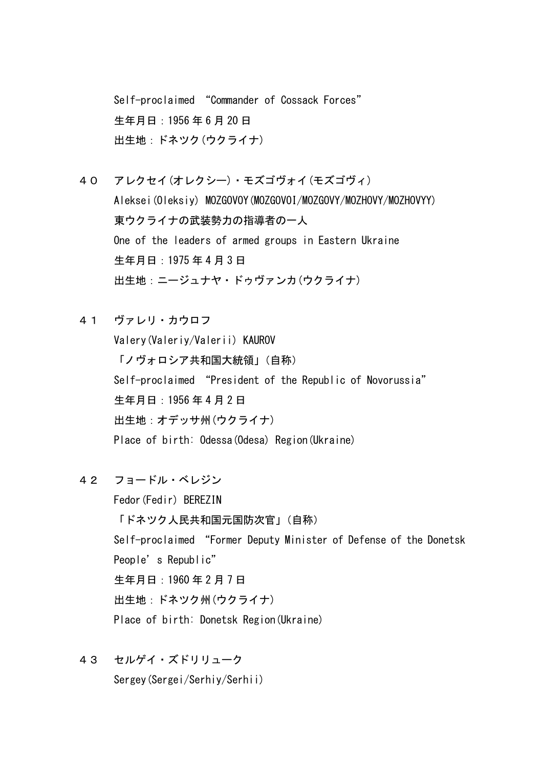Self-proclaimed "Commander of Cossack Forces" 生年月日:1956 年 6 月 20 日 出生地:ドネツク(ウクライナ)

40 アレクセイ(オレクシー)・モズゴヴォイ(モズゴヴィ) Aleksei(Oleksiy) MOZGOVOY(MOZGOVOI/MOZGOVY/MOZHOVY/MOZHOVYY) 東ウクライナの武装勢力の指導者の一人 One of the leaders of armed groups in Eastern Ukraine 生年月日:1975 年 4 月 3 日 出生地:ニージュナヤ・ドゥヴァンカ(ウクライナ)

41 ヴァレリ・カウロフ Valery(Valeriy/Valerii) KAUROV 「ノヴォロシア共和国大統領」(自称) Self-proclaimed "President of the Republic of Novorussia" 生年月日:1956 年 4 月 2 日

出生地:オデッサ州(ウクライナ)

Place of birth: Odessa(Odesa) Region(Ukraine)

42 フョードル・ベレジン

Fedor(Fedir) BEREZIN 「ドネツク人民共和国元国防次官」(自称) Self-proclaimed "Former Deputy Minister of Defense of the Donetsk People's Republic" 生年月日:1960 年 2 月 7 日 出生地:ドネツク州(ウクライナ) Place of birth: Donetsk Region(Ukraine)

43 セルゲイ・ズドリリューク Sergey(Sergei/Serhiy/Serhii)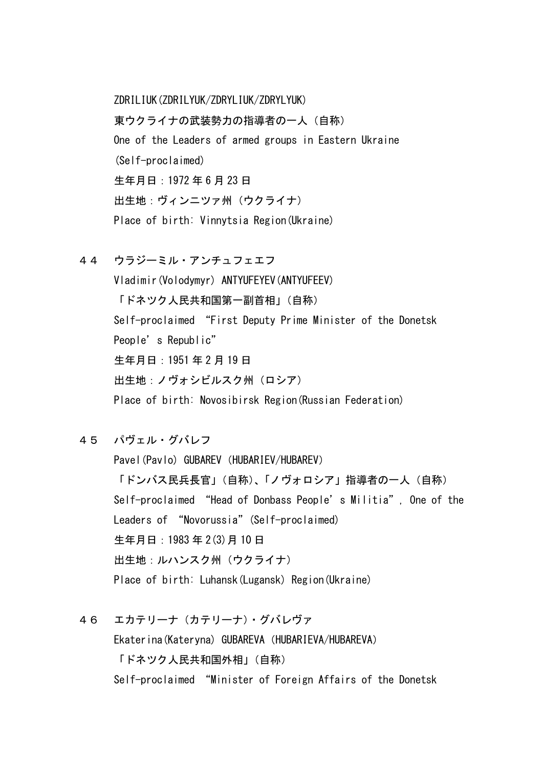ZDRILIUK(ZDRILYUK/ZDRYLIUK/ZDRYLYUK) 東ウクライナの武装勢力の指導者の一人(自称) One of the Leaders of armed groups in Eastern Ukraine (Self-proclaimed) 生年月日:1972 年 6 月 23 日 出生地:ヴィンニツァ州(ウクライナ) Place of birth: Vinnytsia Region(Ukraine)

44 ウラジーミル・アンチュフェエフ

Vladimir(Volodymyr) ANTYUFEYEV(ANTYUFEEV) 「ドネツク人民共和国第一副首相」(自称) Self-proclaimed "First Deputy Prime Minister of the Donetsk People's Republic" 生年月日:1951 年 2 月 19 日 出生地:ノヴォシビルスク州(ロシア) Place of birth: Novosibirsk Region(Russian Federation)

45 パヴェル・グバレフ

Pavel(Pavlo) GUBAREV (HUBARIEV/HUBAREV) 「ドンバス民兵長官」(自称)、「ノヴォロシア」指導者の一人(自称) Self-proclaimed "Head of Donbass People's Militia", One of the Leaders of "Novorussia" (Self-proclaimed) 生年月日:1983 年 2(3)月 10 日 出生地:ルハンスク州(ウクライナ) Place of birth: Luhansk(Lugansk) Region(Ukraine)

46 エカテリーナ(カテリーナ)・グバレヴァ Ekaterina (Kateryna) GUBAREVA (HUBARIEVA/HUBAREVA) 「ドネツク人民共和国外相」(自称) Self-proclaimed "Minister of Foreign Affairs of the Donetsk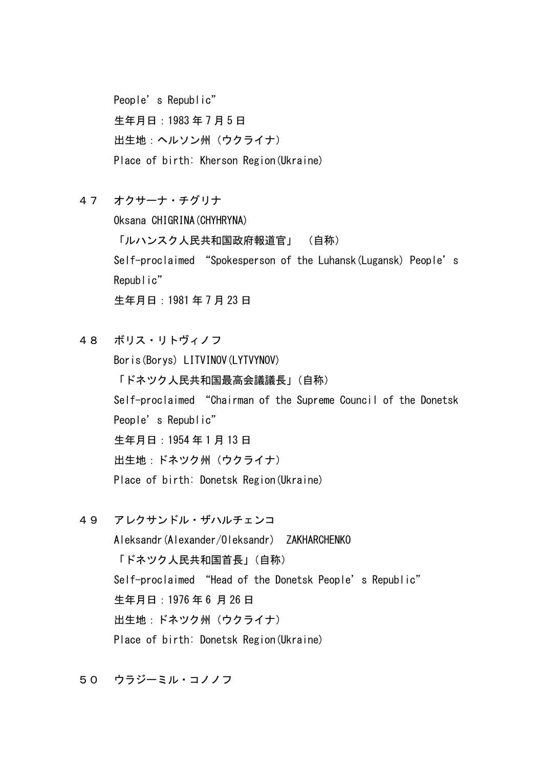People's Republic" 生年月日:1983 年 7 月 5 日 出生地:ヘルソン州(ウクライナ) Place of birth: Kherson Region(Ukraine)

47 オクサーナ・チグリナ

Oksana CHIGRINA(CHYHRYNA) 「ルハンスク人民共和国政府報道官」 (自称) Self-proclaimed "Spokesperson of the Luhansk (Lugansk) People's Republic" 生年月日:1981 年 7 月 23 日

- 48 ボリス・リトヴィノフ Boris(Borys) LITVINOV(LYTVYNOV) 「ドネツク人民共和国最高会議議長」(自称) Self-proclaimed "Chairman of the Supreme Council of the Donetsk People's Republic" 生年月日:1954 年 1 月 13 日 出生地:ドネツク州(ウクライナ) Place of birth: Donetsk Region(Ukraine)
- 49 アレクサンドル・ザハルチェンコ Aleksandr(Alexander/Oleksandr) ZAKHARCHENKO 「ドネツク人民共和国首長」(自称) Self-proclaimed "Head of the Donetsk People's Republic" 生年月日:1976 年 6 月 26 日 出生地:ドネツク州(ウクライナ) Place of birth: Donetsk Region(Ukraine)

50 ウラジーミル・コノノフ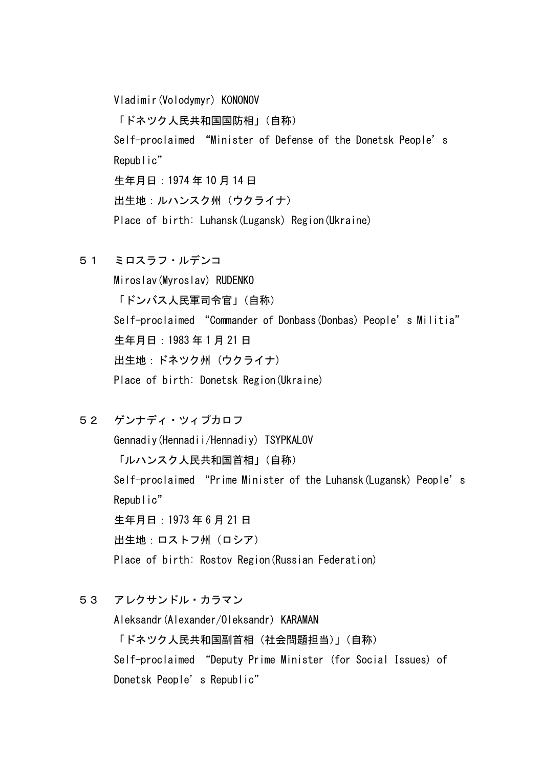Vladimir(Volodymyr) KONONOV 「ドネツク人民共和国国防相」(自称) Self-proclaimed "Minister of Defense of the Donetsk People's Republic" 生年月日:1974 年 10 月 14 日 出生地:ルハンスク州(ウクライナ) Place of birth: Luhansk(Lugansk) Region(Ukraine)

51 ミロスラフ・ルデンコ

Miroslav(Myroslav) RUDENKO 「ドンバス人民軍司令官」(自称) Self-proclaimed "Commander of Donbass(Donbas) People's Militia" 生年月日:1983 年 1 月 21 日 出生地:ドネツク州 (ウクライナ) Place of birth: Donetsk Region(Ukraine)

52 ゲンナディ・ツィプカロフ

Gennadiy(Hennadii/Hennadiy) TSYPKALOV 「ルハンスク人民共和国首相」(自称) Self-proclaimed "Prime Minister of the Luhansk (Lugansk) People's Republic" 生年月日:1973 年 6 月 21 日 出生地:ロストフ州(ロシア) Place of birth: Rostov Region(Russian Federation)

53 アレクサンドル・カラマン

Aleksandr(Alexander/Oleksandr) KARAMAN 「ドネツク人民共和国副首相(社会問題担当)」(自称) Self-proclaimed "Deputy Prime Minister (for Social Issues) of Donetsk People's Republic"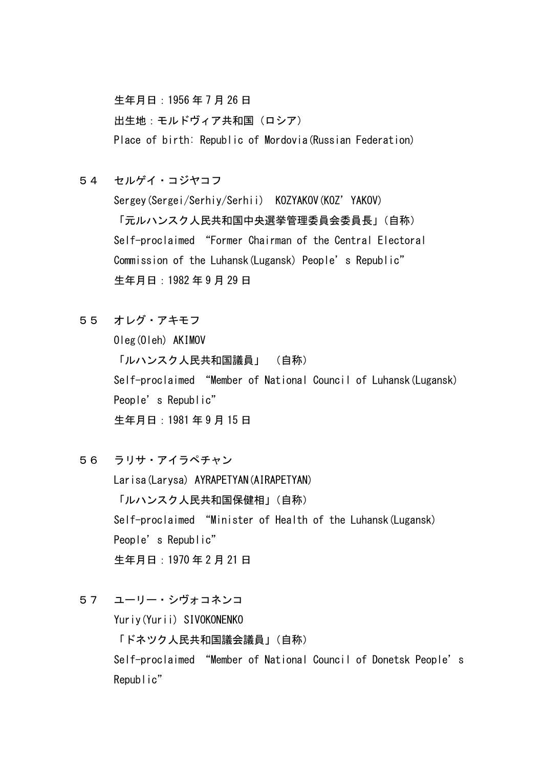生年月日:1956 年 7 月 26 日

出生地:モルドヴィア共和国(ロシア) Place of birth: Republic of Mordovia(Russian Federation)

54 セルゲイ・コジヤコフ

Sergey(Sergei/Serhiy/Serhii) KOZYAKOV(KOZ'YAKOV) 「元ルハンスク人民共和国中央選挙管理委員会委員長」(自称) Self-proclaimed "Former Chairman of the Central Electoral Commission of the Luhansk (Lugansk) People's Republic" 生年月日:1982 年 9 月 29 日

55 オレグ・アキモフ

Oleg(Oleh) AKIMOV 「ルハンスク人民共和国議員」 (自称) Self-proclaimed "Member of National Council of Luhansk(Lugansk) People's Republic" 生年月日:1981 年 9 月 15 日

- 56 ラリサ・アイラペチャン Larisa(Larysa) AYRAPETYAN(AIRAPETYAN) 「ルハンスク人民共和国保健相」(自称) Self-proclaimed "Minister of Health of the Luhansk(Lugansk) People's Republic" 生年月日:1970 年 2 月 21 日
- 57 ユーリー・シヴォコネンコ

Yuriy(Yurii) SIVOKONENKO

「ドネツク人民共和国議会議員」(自称)

Self-proclaimed "Member of National Council of Donetsk People's Republic"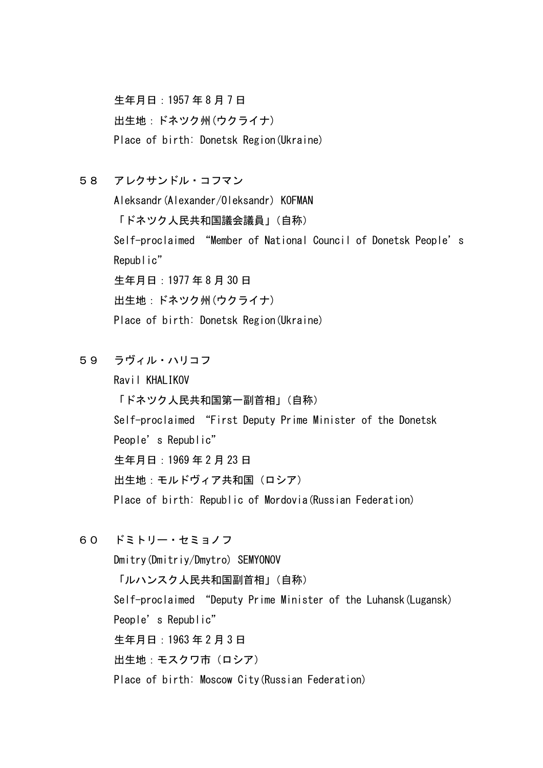生年月日:1957 年 8 月 7 日 出生地:ドネツク州(ウクライナ) Place of birth: Donetsk Region(Ukraine)

- 58 アレクサンドル・コフマン Aleksandr(Alexander/Oleksandr) KOFMAN 「ドネツク人民共和国議会議員」(自称) Self-proclaimed "Member of National Council of Donetsk People's Republic" 生年月日:1977 年 8 月 30 日 出生地:ドネツク州(ウクライナ) Place of birth: Donetsk Region(Ukraine)
- 59 ラヴィル・ハリコフ

Ravil KHALIKOV 「ドネツク人民共和国第一副首相」(自称) Self-proclaimed "First Deputy Prime Minister of the Donetsk People's Republic" 生年月日:1969 年 2 月 23 日 出生地:モルドヴィア共和国(ロシア) Place of birth: Republic of Mordovia(Russian Federation)

60 ドミトリー・セミョノフ

Dmitry(Dmitriy/Dmytro) SEMYONOV 「ルハンスク人民共和国副首相」(自称) Self-proclaimed "Deputy Prime Minister of the Luhansk(Lugansk) People's Republic" 生年月日:1963 年 2 月 3 日 出生地:モスクワ市(ロシア) Place of birth: Moscow City(Russian Federation)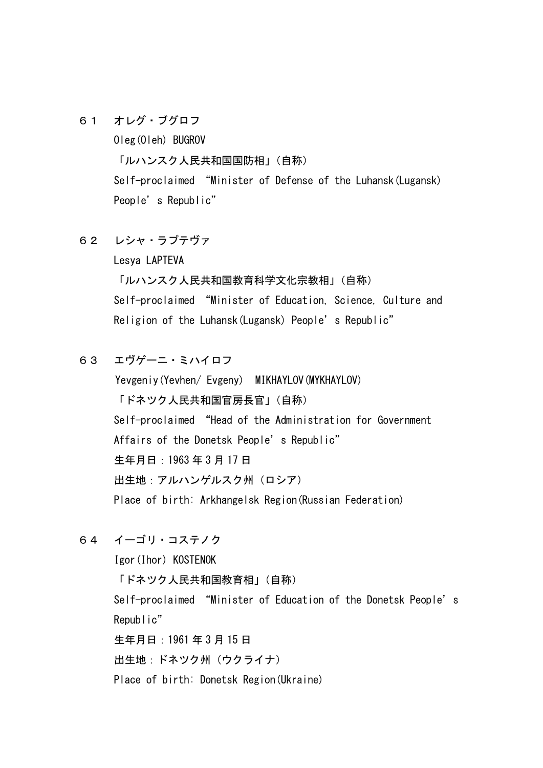61 オレグ・ブグロフ

Oleg(Oleh) BUGROV 「ルハンスク人民共和国国防相」(自称) Self-proclaimed "Minister of Defense of the Luhansk(Lugansk) People's Republic"

62 レシャ・ラプテヴァ

Lesya LAPTEVA

「ルハンスク人民共和国教育科学文化宗教相」(自称) Self-proclaimed "Minister of Education, Science, Culture and Religion of the Luhansk (Lugansk) People's Republic"

63 エヴゲーニ・ミハイロフ

Yevgeniy(Yevhen/ Evgeny) MIKHAYLOV(MYKHAYLOV) 「ドネツク人民共和国官房長官」(自称) Self-proclaimed "Head of the Administration for Government Affairs of the Donetsk People's Republic" 生年月日:1963 年 3 月 17 日 出生地:アルハンゲルスク州(ロシア) Place of birth: Arkhangelsk Region(Russian Federation)

64 イーゴリ・コステノク

Igor(Ihor) KOSTENOK 「ドネツク人民共和国教育相」(自称) Self-proclaimed "Minister of Education of the Donetsk People's Republic" 生年月日:1961 年 3 月 15 日 出生地:ドネツク州(ウクライナ) Place of birth: Donetsk Region(Ukraine)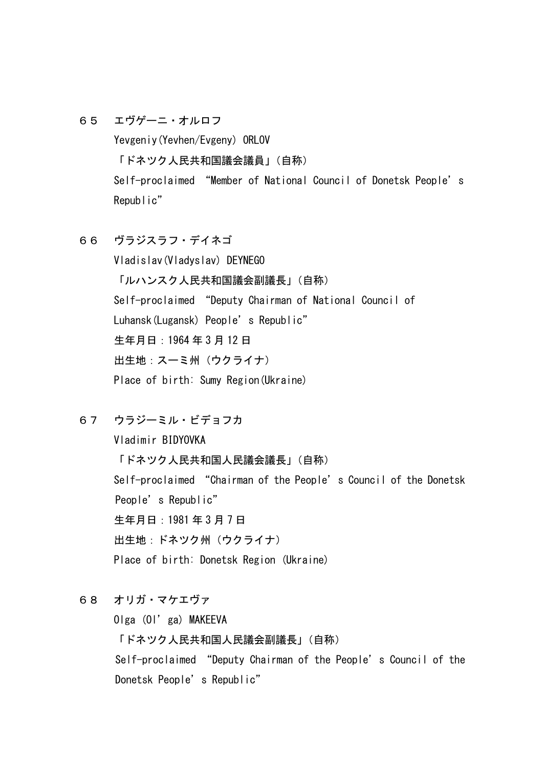- 65 エヴゲーニ・オルロフ Yevgeniy(Yevhen/Evgeny) ORLOV 「ドネツク人民共和国議会議員」(自称) Self-proclaimed "Member of National Council of Donetsk People's Republic"
- 66 ヴラジスラフ・デイネゴ Vladislav(Vladyslav) DEYNEGO 「ルハンスク人民共和国議会副議長」(自称) Self-proclaimed "Deputy Chairman of National Council of Luhansk (Lugansk) People's Republic" 生年月日:1964 年 3 月 12 日 出生地:スーミ州(ウクライナ) Place of birth: Sumy Region(Ukraine)
- 67 ウラジーミル・ビデョフカ Vladimir BIDYOVKA 「ドネツク人民共和国人民議会議長」(自称) Self-proclaimed "Chairman of the People's Council of the Donetsk People's Republic" 生年月日:1981 年 3 月 7 日 出生地:ドネツク州(ウクライナ) Place of birth: Donetsk Region (Ukraine)
- 68 オリガ・マケエヴァ Olga (Ol'ga) MAKEEVA 「ドネツク人民共和国人民議会副議長」(自称) Self-proclaimed "Deputy Chairman of the People's Council of the Donetsk People's Republic"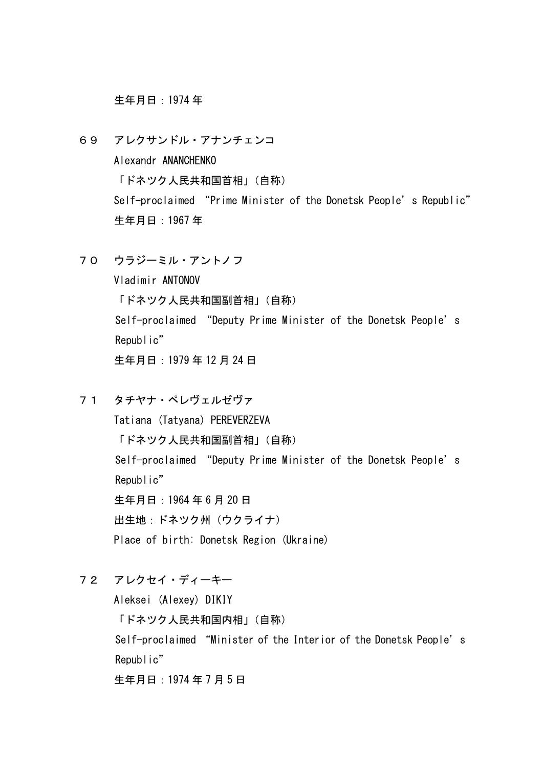生年月日:1974 年

- 69 アレクサンドル・アナンチェンコ Alexandr ANANCHENKO 「ドネツク人民共和国首相」(自称) Self-proclaimed "Prime Minister of the Donetsk People's Republic" 生年月日:1967 年
- 70 ウラジーミル・アントノフ Vladimir ANTONOV 「ドネツク人民共和国副首相」(自称) Self-proclaimed "Deputy Prime Minister of the Donetsk People's Republic" 生年月日:1979 年 12 月 24 日
	-
- 71 タチヤナ・ペレヴェルゼヴァ

Tatiana (Tatyana) PEREVERZEVA 「ドネツク人民共和国副首相」(自称) Self-proclaimed "Deputy Prime Minister of the Donetsk People's Republic" 生年月日:1964 年 6 月 20 日 出生地:ドネツク州(ウクライナ) Place of birth: Donetsk Region (Ukraine)

72 アレクセイ・ディーキー

Aleksei (Alexey) DIKIY 「ドネツク人民共和国内相」(自称) Self-proclaimed "Minister of the Interior of the Donetsk People's Republic" 生年月日:1974 年 7 月 5 日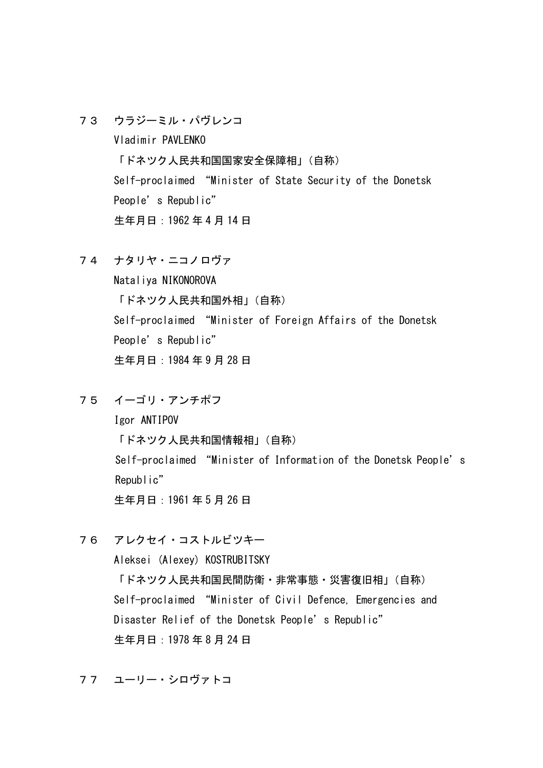73 ウラジーミル・パヴレンコ

Vladimir PAVLENKO 「ドネツク人民共和国国家安全保障相」(自称) Self-proclaimed "Minister of State Security of the Donetsk People's Republic" 生年月日:1962 年 4 月 14 日

74 ナタリヤ・ニコノロヴァ

Nataliya NIKONOROVA 「ドネツク人民共和国外相」(自称) Self-proclaimed "Minister of Foreign Affairs of the Donetsk People's Republic" 生年月日:1984 年 9 月 28 日

75 イーゴリ・アンチポフ

Igor ANTIPOV 「ドネツク人民共和国情報相」(自称) Self-proclaimed "Minister of Information of the Donetsk People's Republic" 生年月日:1961 年 5 月 26 日

76 アレクセイ・コストルビツキー

Aleksei (Alexey) KOSTRUBITSKY 「ドネツク人民共和国民間防衛・非常事態・災害復旧相」(自称) Self-proclaimed "Minister of Civil Defence, Emergencies and Disaster Relief of the Donetsk People's Republic" 生年月日:1978 年 8 月 24 日

77 ユーリー・シロヴァトコ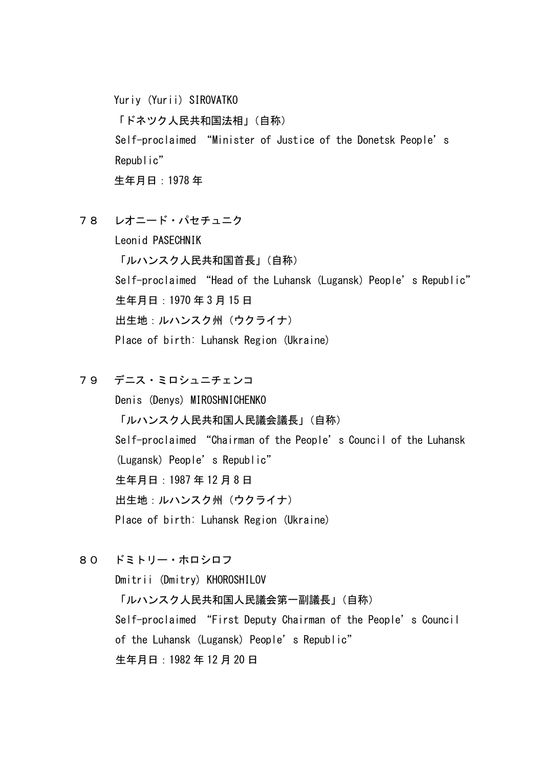Yuriy (Yurii) SIROVATKO 「ドネツク人民共和国法相」(自称) Self-proclaimed "Minister of Justice of the Donetsk People's Republic" 生年月日:1978 年

78 レオニード・パセチュニク

 Leonid PASECHNIK 「ルハンスク人民共和国首長」(自称) Self-proclaimed "Head of the Luhansk (Lugansk) People's Republic" 生年月日:1970 年 3 月 15 日 出生地:ルハンスク州(ウクライナ) Place of birth: Luhansk Region (Ukraine)

- 79 デニス・ミロシュニチェンコ Denis (Denys) MIROSHNICHENKO 「ルハンスク人民共和国人民議会議長」(自称) Self-proclaimed "Chairman of the People's Council of the Luhansk (Lugansk) People's Republic" 生年月日:1987 年 12 月 8 日 出生地:ルハンスク州(ウクライナ) Place of birth: Luhansk Region (Ukraine)
- 80 ドミトリー・ホロシロフ

 Dmitrii (Dmitry) KHOROSHILOV 「ルハンスク人民共和国人民議会第一副議長」(自称) Self-proclaimed "First Deputy Chairman of the People's Council of the Luhansk (Lugansk) People's Republic" 生年月日:1982 年 12 月 20 日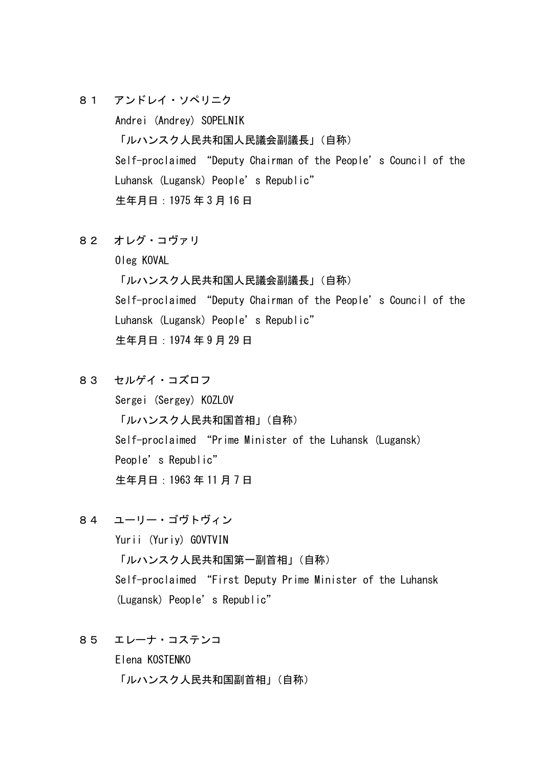81 アンドレイ・ソペリニク

 Andrei (Andrey) SOPELNIK 「ルハンスク人民共和国人民議会副議長」(自称) Self-proclaimed "Deputy Chairman of the People's Council of the Luhansk (Lugansk) People's Republic" 生年月日:1975 年 3 月 16 日

82 オレグ・コヴァリ

Oleg KOVAL

 「ルハンスク人民共和国人民議会副議長」(自称) Self-proclaimed "Deputy Chairman of the People's Council of the Luhansk (Lugansk) People's Republic" 生年月日:1974 年 9 月 29 日

83 セルゲイ・コズロフ

 Sergei (Sergey) KOZLOV 「ルハンスク人民共和国首相」(自称) Self-proclaimed "Prime Minister of the Luhansk (Lugansk) People's Republic" 生年月日:1963 年 11 月 7 日

- 84 ユーリー・ゴヴトヴィン Yurii (Yuriy) GOVTVIN 「ルハンスク人民共和国第一副首相」(自称) Self-proclaimed "First Deputy Prime Minister of the Luhansk (Lugansk) People's Republic"
- 85 エレーナ・コステンコ Elena KOSTENKO 「ルハンスク人民共和国副首相」(自称)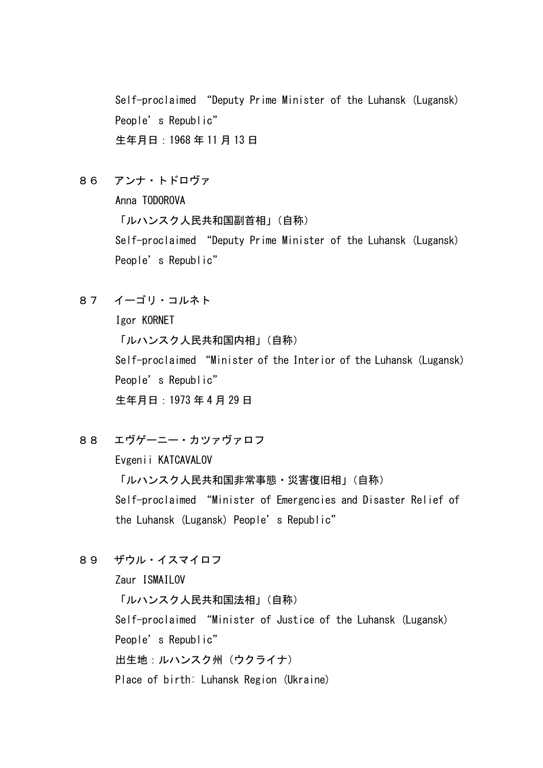Self-proclaimed "Deputy Prime Minister of the Luhansk (Lugansk) People's Republic" 生年月日:1968 年 11 月 13 日

86 アンナ・トドロヴァ

Anna TODOROVA

「ルハンスク人民共和国副首相」(自称)

 Self-proclaimed "Deputy Prime Minister of the Luhansk (Lugansk) People's Republic"

87 イーゴリ・コルネト

Igor KORNET

「ルハンスク人民共和国内相」(自称)

 Self-proclaimed "Minister of the Interior of the Luhansk (Lugansk) People's Republic" 生年月日:1973 年 4 月 29 日

88 エヴゲーニー・カツァヴァロフ

Evgenii KATCAVALOV

 「ルハンスク人民共和国非常事態・災害復旧相」(自称) Self-proclaimed "Minister of Emergencies and Disaster Relief of the Luhansk (Lugansk) People's Republic"

89 ザウル・イスマイロフ

Zaur ISMAILOV

 「ルハンスク人民共和国法相」(自称) Self-proclaimed "Minister of Justice of the Luhansk (Lugansk) People's Republic" 出生地:ルハンスク州(ウクライナ) Place of birth: Luhansk Region (Ukraine)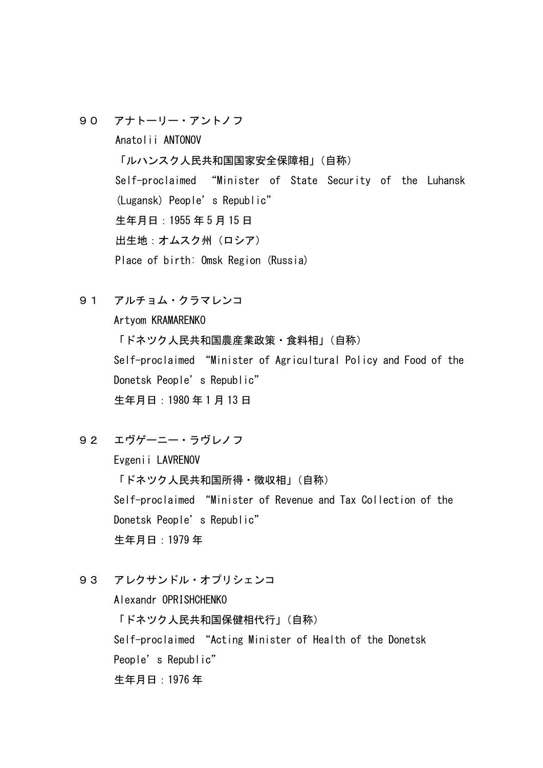90 アナトーリー・アントノフ

 Anatolii ANTONOV 「ルハンスク人民共和国国家安全保障相」(自称) Self-proclaimed "Minister of State Security of the Luhansk (Lugansk) People's Republic" 生年月日:1955 年 5 月 15 日 出生地:オムスク州(ロシア) Place of birth: Omsk Region (Russia)

91 アルチョム・クラマレンコ

Artyom KRAMARENKO

「ドネツク人民共和国農産業政策・食料相」(自称) Self-proclaimed "Minister of Agricultural Policy and Food of the Donetsk People's Republic" 生年月日:1980 年 1 月 13 日

92 エヴゲーニー・ラヴレノフ

Evgenii LAVRENOV 「ドネツク人民共和国所得・徴収相」(自称) Self-proclaimed "Minister of Revenue and Tax Collection of the Donetsk People's Republic" 生年月日:1979 年

93 アレクサンドル・オプリシェンコ

Alexandr OPRISHCHENKO 「ドネツク人民共和国保健相代行」(自称) Self-proclaimed "Acting Minister of Health of the Donetsk People's Republic" 生年月日:1976 年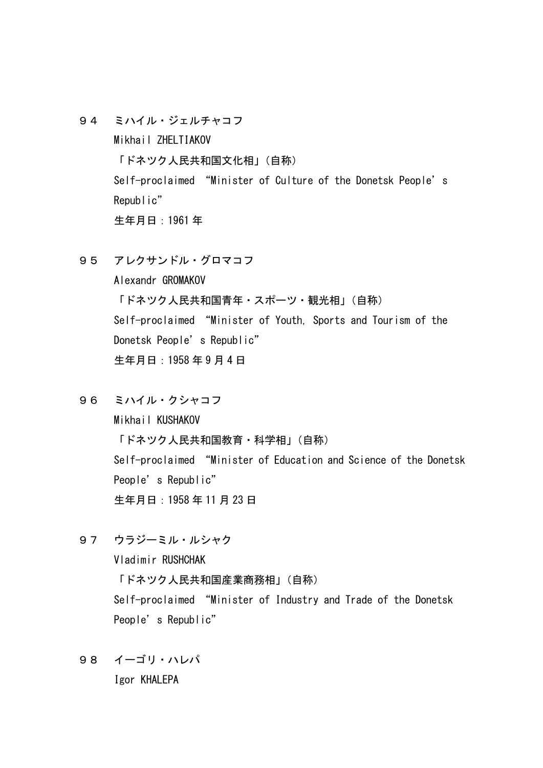- 94 ミハイル・ジェルチャコフ Mikhail ZHELTIAKOV 「ドネツク人民共和国文化相」(自称) Self-proclaimed "Minister of Culture of the Donetsk People's Republic" 生年月日:1961 年
- 95 アレクサンドル・グロマコフ

Alexandr GROMAKOV 「ドネツク人民共和国青年・スポーツ・観光相」(自称) Self-proclaimed "Minister of Youth, Sports and Tourism of the Donetsk People's Republic" 生年月日:1958 年 9 月 4 日

96 ミハイル・クシャコフ

Mikhail KUSHAKOV 「ドネツク人民共和国教育・科学相」(自称) Self-proclaimed "Minister of Education and Science of the Donetsk People's Republic" 生年月日:1958 年 11 月 23 日

97 ウラジーミル・ルシャク

Vladimir RUSHCHAK 「ドネツク人民共和国産業商務相」(自称) Self-proclaimed "Minister of Industry and Trade of the Donetsk People's Republic"

98 イーゴリ・ハレパ Igor KHALEPA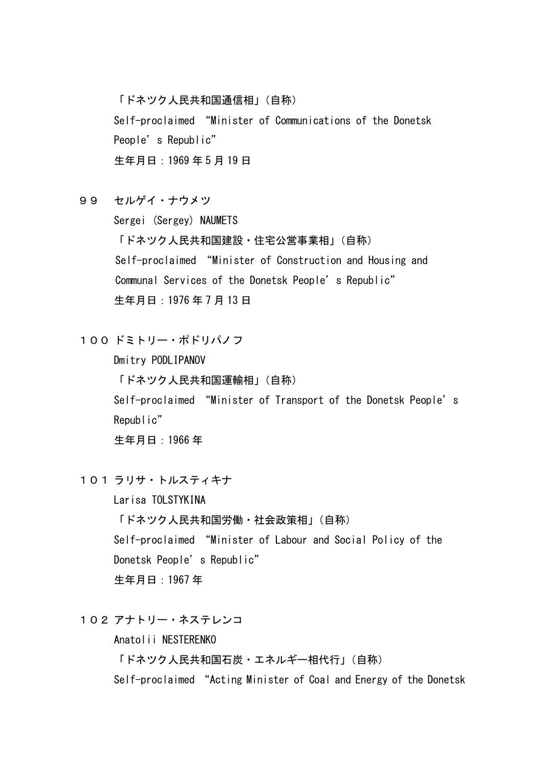「ドネツク人民共和国通信相」(自称) Self-proclaimed "Minister of Communications of the Donetsk People's Republic" 生年月日:1969 年 5 月 19 日

99 セルゲイ・ナウメツ

Sergei (Sergey) NAUMETS

「ドネツク人民共和国建設・住宅公営事業相」(自称) Self-proclaimed "Minister of Construction and Housing and Communal Services of the Donetsk People's Republic" 生年月日:1976 年 7 月 13 日

100 ドミトリー・ポドリパノフ

Dmitry PODLIPANOV 「ドネツク人民共和国運輸相」(自称) Self-proclaimed "Minister of Transport of the Donetsk People's Republic" 生年月日:1966 年

101 ラリサ・トルスティキナ

Larisa TOLSTYKINA 「ドネツク人民共和国労働・社会政策相」(自称) Self-proclaimed "Minister of Labour and Social Policy of the Donetsk People's Republic" 生年月日:1967 年

102 アナトリー・ネステレンコ

Anatolii NESTERENKO

「ドネツク人民共和国石炭・エネルギー相代行」(自称)

Self-proclaimed "Acting Minister of Coal and Energy of the Donetsk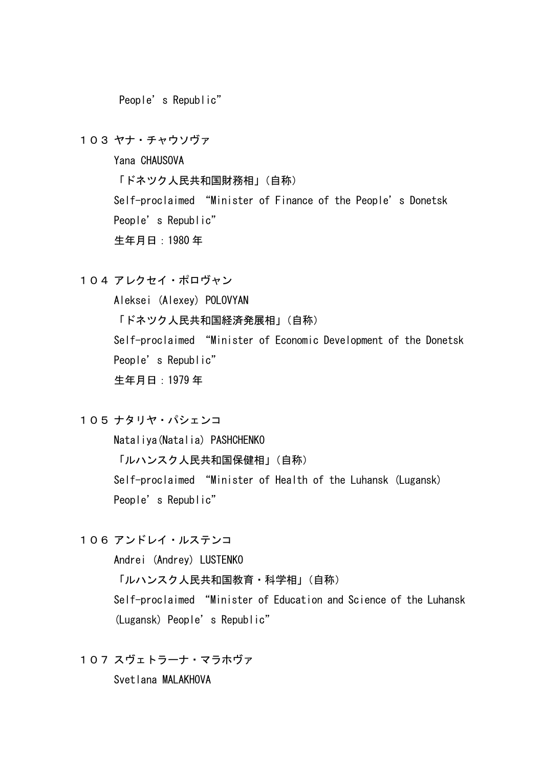People's Republic"

103 ヤナ・チャウソヴァ

Yana CHAUSOVA 「ドネツク人民共和国財務相」(自称) Self-proclaimed "Minister of Finance of the People's Donetsk People's Republic" 生年月日:1980 年

104 アレクセイ・ポロヴャン

Aleksei (Alexey) POLOVYAN 「ドネツク人民共和国経済発展相」(自称) Self-proclaimed "Minister of Economic Development of the Donetsk People's Republic" 生年月日:1979 年

105 ナタリヤ・パシェンコ

Nataliya(Natalia) PASHCHENKO

「ルハンスク人民共和国保健相」(自称)

Self-proclaimed "Minister of Health of the Luhansk (Lugansk) People's Republic"

106 アンドレイ・ルステンコ

Andrei (Andrey) LUSTENKO

「ルハンスク人民共和国教育・科学相」(自称)

Self-proclaimed "Minister of Education and Science of the Luhansk (Lugansk) People's Republic"

107 スヴェトラーナ・マラホヴァ

Svetlana MALAKHOVA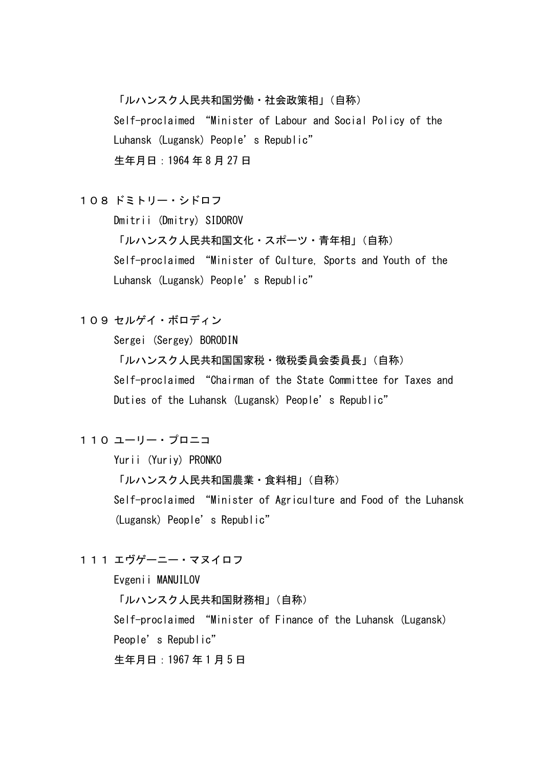「ルハンスク人民共和国労働・社会政策相」(自称) Self-proclaimed "Minister of Labour and Social Policy of the Luhansk (Lugansk) People's Republic" 生年月日:1964 年 8 月 27 日

## 108 ドミトリー・シドロフ

Dmitrii (Dmitry) SIDOROV

「ルハンスク人民共和国文化・スポーツ・青年相」(自称) Self-proclaimed "Minister of Culture, Sports and Youth of the Luhansk (Lugansk) People's Republic"

# 109 セルゲイ・ボロディン

Sergei (Sergey) BORODIN

「ルハンスク人民共和国国家税・徴税委員会委員長」(自称) Self-proclaimed "Chairman of the State Committee for Taxes and Duties of the Luhansk (Lugansk) People's Republic"

## 110 ユーリー・プロニコ

Yurii (Yuriy) PRONKO

「ルハンスク人民共和国農業・食料相」(自称)

Self-proclaimed "Minister of Agriculture and Food of the Luhansk (Lugansk) People's Republic"

## 111 エヴゲーニー・マヌイロフ

Evgenii MANUILOV 「ルハンスク人民共和国財務相」(自称) Self-proclaimed "Minister of Finance of the Luhansk (Lugansk) People's Republic" 生年月日:1967 年 1 月 5 日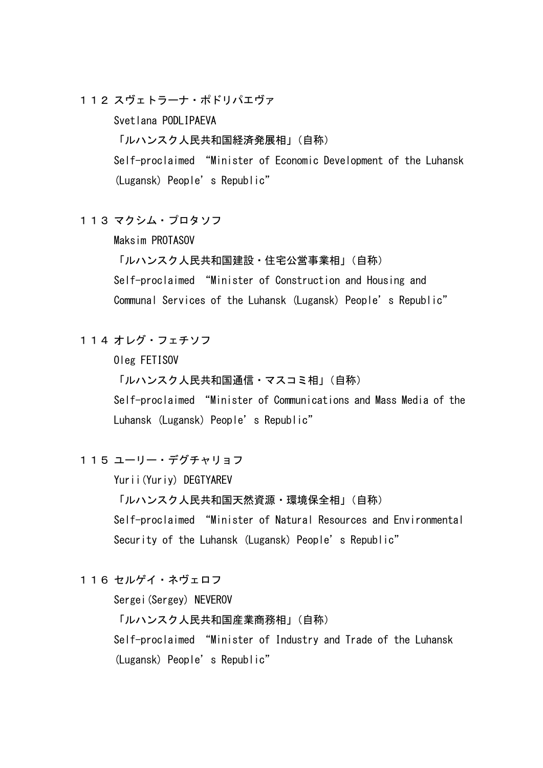112 スヴェトラーナ・ポドリパエヴァ

Svetlana PODLIPAEVA

「ルハンスク人民共和国経済発展相」(自称)

Self-proclaimed "Minister of Economic Development of the Luhansk (Lugansk) People's Republic"

113 マクシム・プロタソフ

Maksim PROTASOV

「ルハンスク人民共和国建設・住宅公営事業相」(自称)

Self-proclaimed "Minister of Construction and Housing and Communal Services of the Luhansk (Lugansk) People's Republic"

114 オレグ・フェチソフ

Oleg FETISOV

「ルハンスク人民共和国通信・マスコミ相」(自称)

Self-proclaimed "Minister of Communications and Mass Media of the Luhansk (Lugansk) People's Republic"

115 ユーリー・デグチャリョフ

Yurii(Yuriy) DEGTYAREV

「ルハンスク人民共和国天然資源・環境保全相」(自称) Self-proclaimed "Minister of Natural Resources and Environmental Security of the Luhansk (Lugansk) People's Republic"

116 セルゲイ・ネヴェロフ

Sergei(Sergey) NEVEROV

「ルハンスク人民共和国産業商務相」(自称) Self-proclaimed "Minister of Industry and Trade of the Luhansk (Lugansk) People's Republic"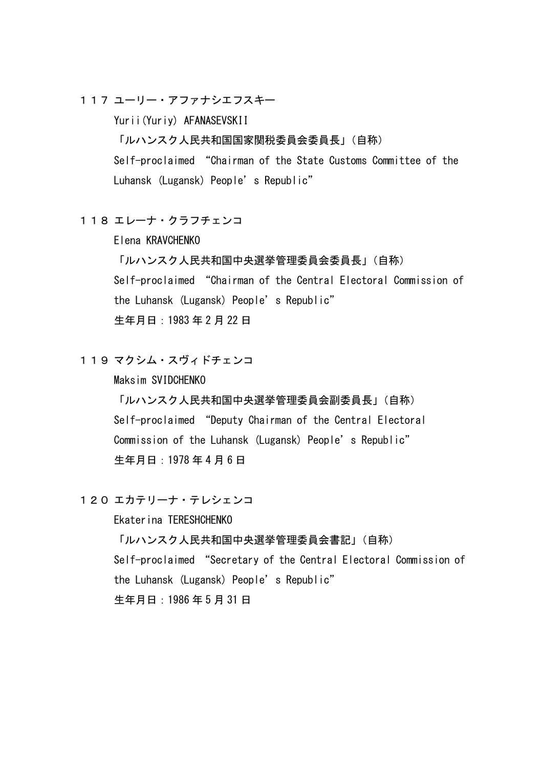117 ユーリー・アファナシエフスキー

Yurii(Yuriy) AFANASEVSKII

「ルハンスク人民共和国国家関税委員会委員長」(自称)

Self-proclaimed "Chairman of the State Customs Committee of the Luhansk (Lugansk) People's Republic"

118 エレーナ・クラフチェンコ

Elena KRAVCHENKO

「ルハンスク人民共和国中央選挙管理委員会委員長」(自称) Self-proclaimed "Chairman of the Central Electoral Commission of the Luhansk (Lugansk) People's Republic" 生年月日:1983 年 2 月 22 日

119 マクシム・スヴィドチェンコ

Maksim SVIDCHENKO

「ルハンスク人民共和国中央選挙管理委員会副委員長」(自称) Self-proclaimed "Deputy Chairman of the Central Electoral Commission of the Luhansk (Lugansk) People's Republic" 生年月日:1978 年 4 月 6 日

120 エカテリーナ・テレシェンコ

Ekaterina TERESHCHENKO

「ルハンスク人民共和国中央選挙管理委員会書記」(自称)

Self-proclaimed "Secretary of the Central Electoral Commission of the Luhansk (Lugansk) People's Republic"

生年月日:1986 年 5 月 31 日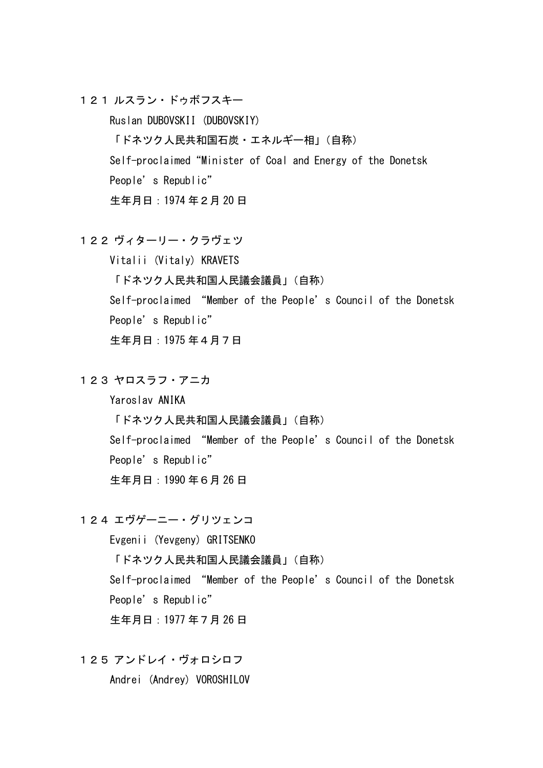121 ルスラン・ドゥボフスキー

Ruslan DUBOVSKII (DUBOVSKIY)

「ドネツク人民共和国石炭・エネルギー相」(自称)

Self-proclaimed"Minister of Coal and Energy of the Donetsk

People's Republic"

生年月日:1974 年2月 20 日

122 ヴィターリー・クラヴェツ

Vitalii (Vitaly) KRAVETS 「ドネツク人民共和国人民議会議員」(自称) Self-proclaimed "Member of the People's Council of the Donetsk People's Republic" 生年月日:1975 年4月7日

123 ヤロスラフ・アニカ

Yaroslav ANIKA

「ドネツク人民共和国人民議会議員」(自称)

Self-proclaimed "Member of the People's Council of the Donetsk People's Republic"

生年月日:1990 年6月 26 日

124 エヴゲーニー・グリツェンコ

Evgenii (Yevgeny) GRITSENKO

「ドネツク人民共和国人民議会議員」(自称)

Self-proclaimed "Member of the People's Council of the Donetsk People's Republic"

生年月日:1977 年7月 26 日

125 アンドレイ・ヴォロシロフ

Andrei (Andrey) VOROSHILOV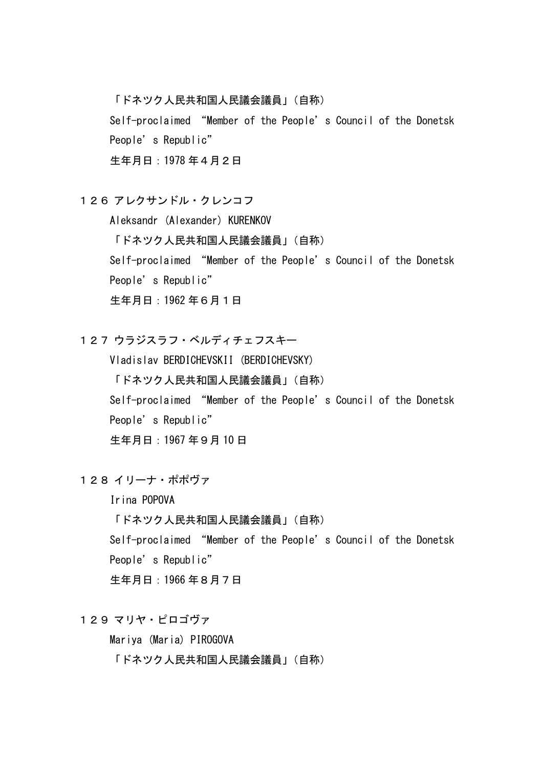「ドネツク人民共和国人民議会議員」(自称)

Self-proclaimed "Member of the People's Council of the Donetsk People's Republic"

生年月日:1978 年4月2日

126 アレクサンドル・クレンコフ

Aleksandr (Alexander) KURENKOV 「ドネツク人民共和国人民議会議員」(自称) Self-proclaimed "Member of the People's Council of the Donetsk People's Republic" 生年月日:1962 年6月1日

127 ウラジスラフ・ベルディチェフスキー

Vladislav BERDICHEVSKII (BERDICHEVSKY) 「ドネツク人民共和国人民議会議員」(自称) Self-proclaimed "Member of the People's Council of the Donetsk People's Republic" 生年月日:1967 年9月 10 日

128 イリーナ・ポポヴァ

Irina POPOVA

「ドネツク人民共和国人民議会議員」(自称)

Self-proclaimed "Member of the People's Council of the Donetsk

People's Republic"

生年月日:1966 年8月7日

129 マリヤ・ピロゴヴァ

Mariya (Maria) PIROGOVA

「ドネツク人民共和国人民議会議員」(自称)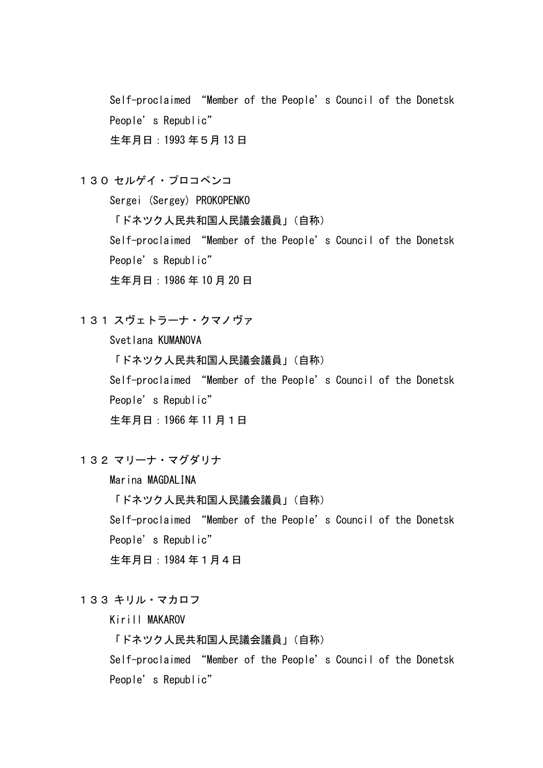Self-proclaimed "Member of the People's Council of the Donetsk People's Republic" 生年月日:1993 年5月 13 日

130 セルゲイ・プロコペンコ

Sergei (Sergey) PROKOPENKO

「ドネツク人民共和国人民議会議員」(自称)

Self-proclaimed "Member of the People's Council of the Donetsk People's Republic"

生年月日:1986 年 10 月 20 日

131 スヴェトラーナ・クマノヴァ

Svetlana KUMANOVA 「ドネツク人民共和国人民議会議員」(自称) Self-proclaimed "Member of the People's Council of the Donetsk People's Republic" 生年月日:1966 年 11 月1日

132 マリーナ・マグダリナ

Marina MAGDALINA

「ドネツク人民共和国人民議会議員」(自称)

Self-proclaimed "Member of the People's Council of the Donetsk People's Republic"

生年月日:1984 年1月4日

133 キリル・マカロフ

Kirill MAKAROV

「ドネツク人民共和国人民議会議員」(自称)

Self-proclaimed "Member of the People's Council of the Donetsk People's Republic"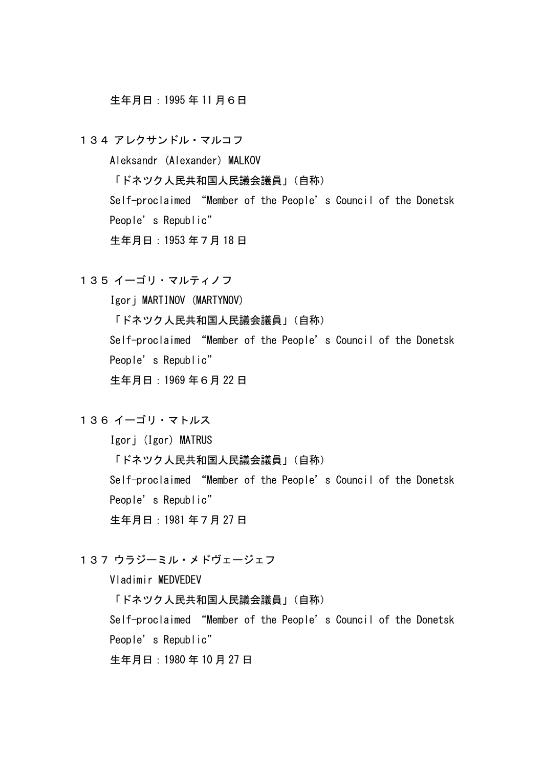### 生年月日:1995 年 11 月6日

134 アレクサンドル・マルコフ

Aleksandr (Alexander) MALKOV

「ドネツク人民共和国人民議会議員」(自称)

Self-proclaimed "Member of the People's Council of the Donetsk People's Republic"

生年月日:1953 年7月 18 日

135 イーゴリ・マルティノフ

Igorj MARTINOV (MARTYNOV)

「ドネツク人民共和国人民議会議員」(自称)

Self-proclaimed "Member of the People's Council of the Donetsk People's Republic"

生年月日:1969 年6月 22 日

### 136 イーゴリ・マトルス

Igorj (Igor) MATRUS

「ドネツク人民共和国人民議会議員」(自称)

Self-proclaimed "Member of the People's Council of the Donetsk People's Republic"

生年月日:1981 年7月 27 日

## 137 ウラジーミル・メドヴェージェフ

Vladimir MEDVEDEV

「ドネツク人民共和国人民議会議員」(自称)

Self-proclaimed "Member of the People's Council of the Donetsk

People's Republic"

生年月日:1980 年 10 月 27 日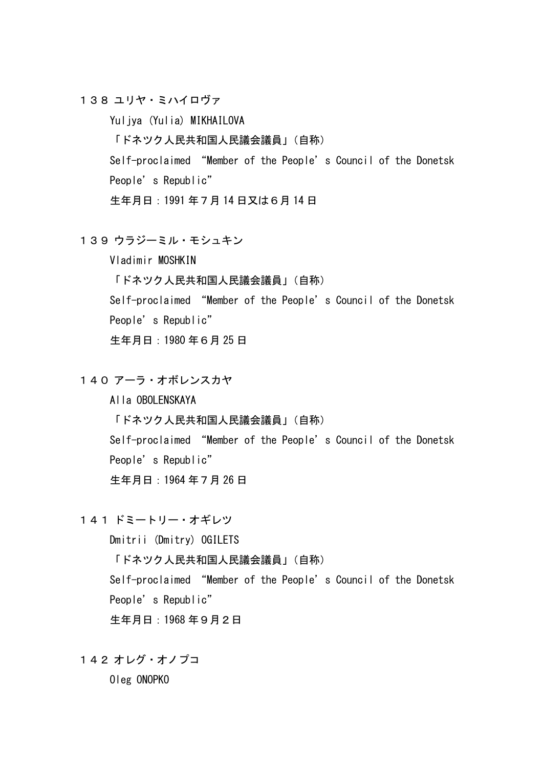138 ユリヤ・ミハイロヴァ

Yuljya (Yulia) MIKHAILOVA

「ドネツク人民共和国人民議会議員」(自称)

Self-proclaimed "Member of the People's Council of the Donetsk People's Republic"

生年月日:1991 年7月 14 日又は6月 14 日

139 ウラジーミル・モシュキン

Vladimir MOSHKIN

「ドネツク人民共和国人民議会議員」(自称)

Self-proclaimed "Member of the People's Council of the Donetsk

People's Republic"

生年月日:1980 年6月 25 日

140 アーラ・オボレンスカヤ

Alla OBOLENSKAYA

「ドネツク人民共和国人民議会議員」(自称)

Self-proclaimed "Member of the People's Council of the Donetsk People's Republic"

生年月日:1964 年7月 26 日

141 ドミートリー・オギレツ

Dmitrii (Dmitry) OGILETS

「ドネツク人民共和国人民議会議員」(自称)

Self-proclaimed "Member of the People's Council of the Donetsk People's Republic"

生年月日:1968 年9月2日

142 オレグ・オノプコ

Oleg ONOPKO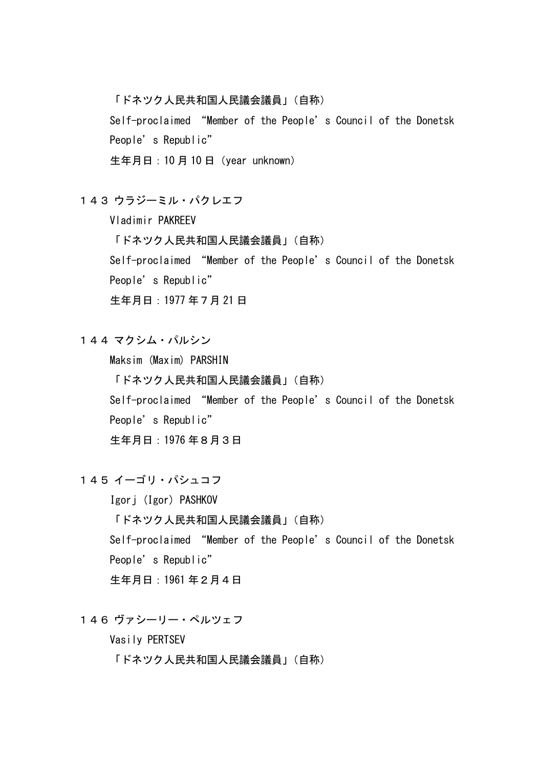「ドネツク人民共和国人民議会議員」(自称)

Self-proclaimed "Member of the People's Council of the Donetsk People's Republic"

生年月日:10 月 10 日(year unknown)

143 ウラジーミル・パクレエフ

Vladimir PAKREEV

「ドネツク人民共和国人民議会議員」(自称)

Self-proclaimed "Member of the People's Council of the Donetsk

People's Republic"

生年月日:1977 年7月 21 日

144 マクシム・パルシン

Maksim (Maxim) PARSHIN 「ドネツク人民共和国人民議会議員」(自称) Self-proclaimed "Member of the People's Council of the Donetsk People's Republic" 生年月日:1976 年8月3日

145 イーゴリ・パシュコフ

Igorj (Igor) PASHKOV 「ドネツク人民共和国人民議会議員」(自称) Self-proclaimed "Member of the People's Council of the Donetsk People's Republic" 生年月日:1961 年2月4日

146 ヴァシーリー・ペルツェフ

Vasily PERTSEV

「ドネツク人民共和国人民議会議員」(自称)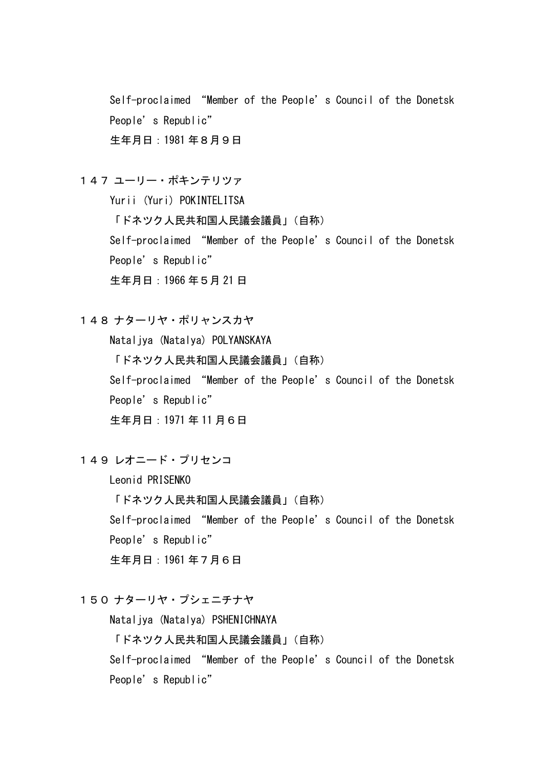Self-proclaimed "Member of the People's Council of the Donetsk People's Republic" 生年月日:1981 年8月9日

147 ユーリー・ポキンテリツァ

Yurii (Yuri) POKINTELITSA

「ドネツク人民共和国人民議会議員」(自称)

Self-proclaimed "Member of the People's Council of the Donetsk People's Republic"

生年月日:1966 年5月 21 日

148 ナターリヤ・ポリャンスカヤ

Nataljya (Natalya) POLYANSKAYA 「ドネツク人民共和国人民議会議員」(自称) Self-proclaimed "Member of the People's Council of the Donetsk People's Republic" 生年月日:1971 年 11 月6日

149 レオニード・プリセンコ

Leonid PRISENKO

「ドネツク人民共和国人民議会議員」(自称)

Self-proclaimed "Member of the People's Council of the Donetsk People's Republic"

生年月日:1961 年7月6日

150 ナターリヤ・プシェニチナヤ

Nataljya (Natalya) PSHENICHNAYA

「ドネツク人民共和国人民議会議員」(自称)

Self-proclaimed "Member of the People's Council of the Donetsk People's Republic"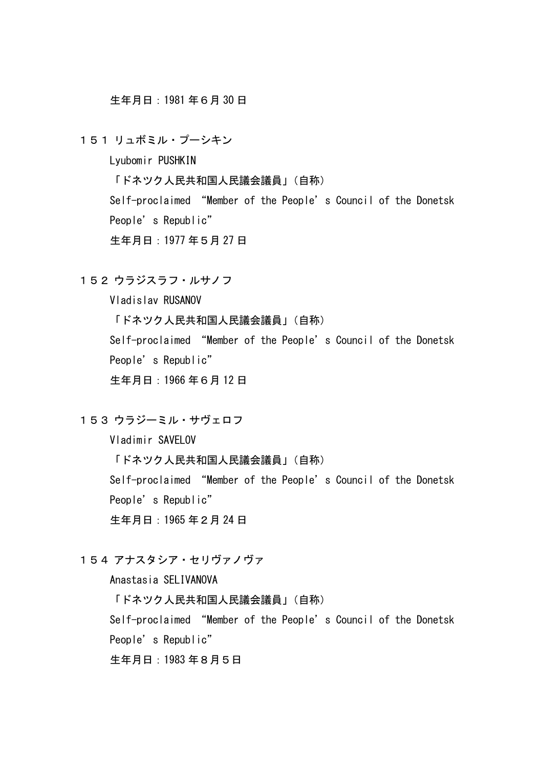生年月日:1981 年6月 30 日

151 リュボミル・プーシキン

Lyubomir PUSHKIN

「ドネツク人民共和国人民議会議員」(自称)

Self-proclaimed "Member of the People's Council of the Donetsk People's Republic"

生年月日:1977 年5月 27 日

152 ウラジスラフ・ルサノフ

Vladislav RUSANOV 「ドネツク人民共和国人民議会議員」(自称) Self-proclaimed "Member of the People's Council of the Donetsk People's Republic" 生年月日:1966 年6月 12 日

153 ウラジーミル・サヴェロフ

Vladimir SAVELOV 「ドネツク人民共和国人民議会議員」(自称) Self-proclaimed "Member of the People's Council of the Donetsk People's Republic" 生年月日:1965 年2月 24 日

154 アナスタシア・セリヴァノヴァ

Anastasia SELIVANOVA

「ドネツク人民共和国人民議会議員」(自称)

Self-proclaimed "Member of the People's Council of the Donetsk

People's Republic"

生年月日:1983 年8月5日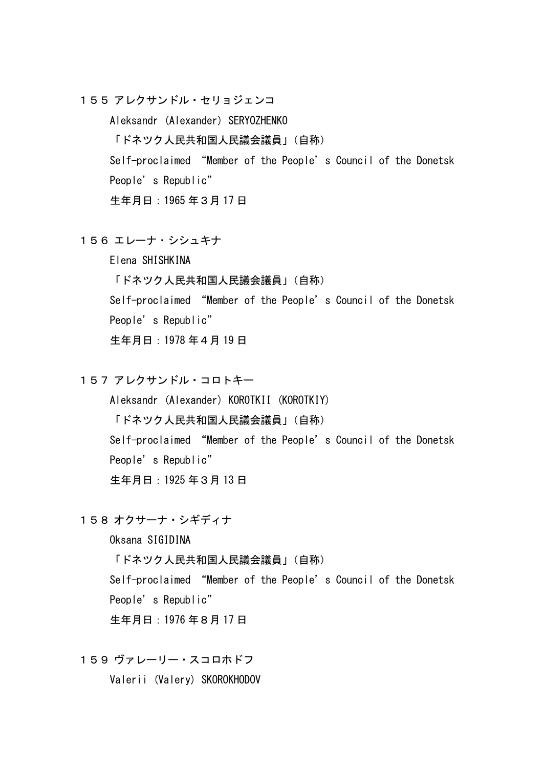155 アレクサンドル・セリョジェンコ

Aleksandr (Alexander) SERYOZHENKO 「ドネツク人民共和国人民議会議員」(自称) Self-proclaimed "Member of the People's Council of the Donetsk People's Republic" 生年月日:1965 年3月 17 日

156 エレーナ・シシュキナ

Elena SHISHKINA 「ドネツク人民共和国人民議会議員」(自称) Self-proclaimed "Member of the People's Council of the Donetsk People's Republic" 生年月日:1978 年4月 19 日

157 アレクサンドル・コロトキー

Aleksandr (Alexander) KOROTKII (KOROTKIY) 「ドネツク人民共和国人民議会議員」(自称) Self-proclaimed "Member of the People's Council of the Donetsk People's Republic" 生年月日:1925 年3月 13 日

158 オクサーナ・シギディナ

Oksana SIGIDINA

「ドネツク人民共和国人民議会議員」(自称)

Self-proclaimed "Member of the People's Council of the Donetsk People's Republic"

生年月日:1976 年8月 17 日

159 ヴァレーリー・スコロホドフ

Valerii (Valery) SKOROKHODOV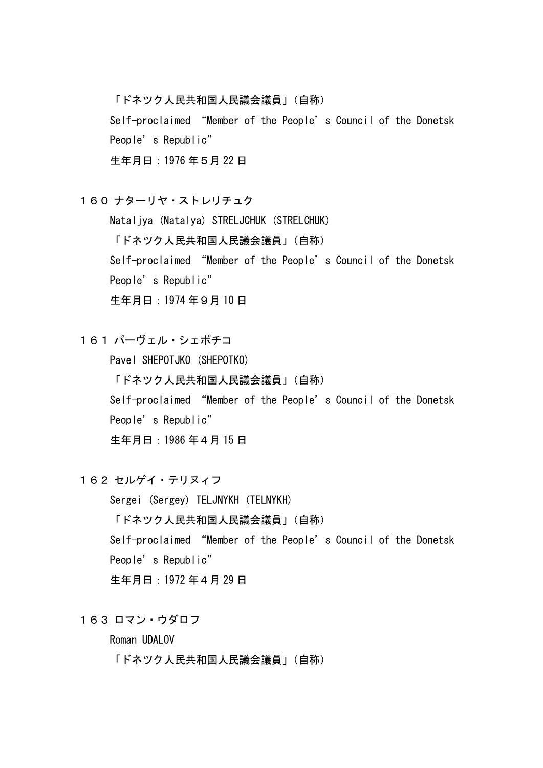「ドネツク人民共和国人民議会議員」(自称)

Self-proclaimed "Member of the People's Council of the Donetsk People's Republic"

生年月日:1976 年5月 22 日

160 ナターリヤ・ストレリチュク

Nataljya (Natalya) STRELJCHUK (STRELCHUK) 「ドネツク人民共和国人民議会議員」(自称) Self-proclaimed "Member of the People's Council of the Donetsk People's Republic" 生年月日:1974 年9月 10 日

161 パーヴェル・シェポチコ

Pavel SHEPOTJKO (SHEPOTKO) 「ドネツク人民共和国人民議会議員」(自称) Self-proclaimed "Member of the People's Council of the Donetsk People's Republic" 生年月日:1986 年4月 15 日

162 セルゲイ・テリヌィフ

Sergei (Sergey) TELJNYKH (TELNYKH) 「ドネツク人民共和国人民議会議員」(自称) Self-proclaimed "Member of the People's Council of the Donetsk People's Republic" 生年月日:1972 年4月 29 日

163 ロマン・ウダロフ

Roman UDALOV

「ドネツク人民共和国人民議会議員」(自称)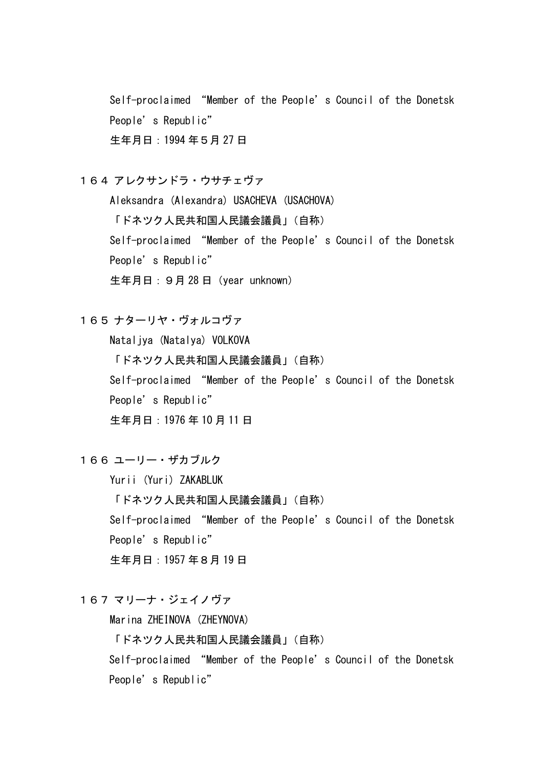Self-proclaimed "Member of the People's Council of the Donetsk People's Republic" 生年月日:1994 年5月 27 日

164 アレクサンドラ・ウサチェヴァ

Aleksandra (Alexandra) USACHEVA (USACHOVA)

「ドネツク人民共和国人民議会議員」(自称)

Self-proclaimed "Member of the People's Council of the Donetsk People's Republic"

生年月日:9月 28 日(year unknown)

165 ナターリヤ・ヴォルコヴァ

Nataljya (Natalya) VOLKOVA 「ドネツク人民共和国人民議会議員」(自称) Self-proclaimed "Member of the People's Council of the Donetsk People's Republic" 生年月日:1976 年 10 月 11 日

166 ユーリー・ザカブルク

Yurii (Yuri) ZAKABLUK

「ドネツク人民共和国人民議会議員」(自称)

Self-proclaimed "Member of the People's Council of the Donetsk People's Republic"

生年月日:1957 年8月 19 日

167 マリーナ・ジェイノヴァ

Marina ZHEINOVA (ZHEYNOVA)

「ドネツク人民共和国人民議会議員」(自称)

Self-proclaimed "Member of the People's Council of the Donetsk People's Republic"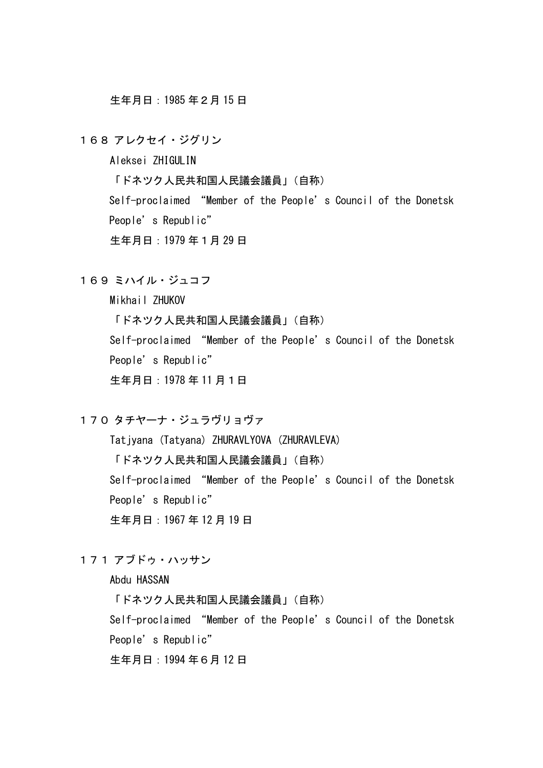生年月日:1985 年2月 15 日

168 アレクセイ・ジグリン

Aleksei ZHIGULIN

「ドネツク人民共和国人民議会議員」(自称)

Self-proclaimed "Member of the People's Council of the Donetsk People's Republic"

生年月日:1979 年1月 29 日

169 ミハイル・ジュコフ

Mikhail ZHUKOV

「ドネツク人民共和国人民議会議員」(自称) Self-proclaimed "Member of the People's Council of the Donetsk People's Republic" 生年月日:1978 年 11 月1日

170 タチヤーナ・ジュラヴリョヴァ

Tatiyana (Tatyana) ZHURAVLYOVA (ZHURAVLEVA)

「ドネツク人民共和国人民議会議員」(自称)

Self-proclaimed "Member of the People's Council of the Donetsk People's Republic"

生年月日:1967 年 12 月 19 日

## 171 アブドゥ・ハッサン

Abdu HASSAN

「ドネツク人民共和国人民議会議員」(自称)

Self-proclaimed "Member of the People's Council of the Donetsk

People's Republic"

生年月日:1994 年6月 12 日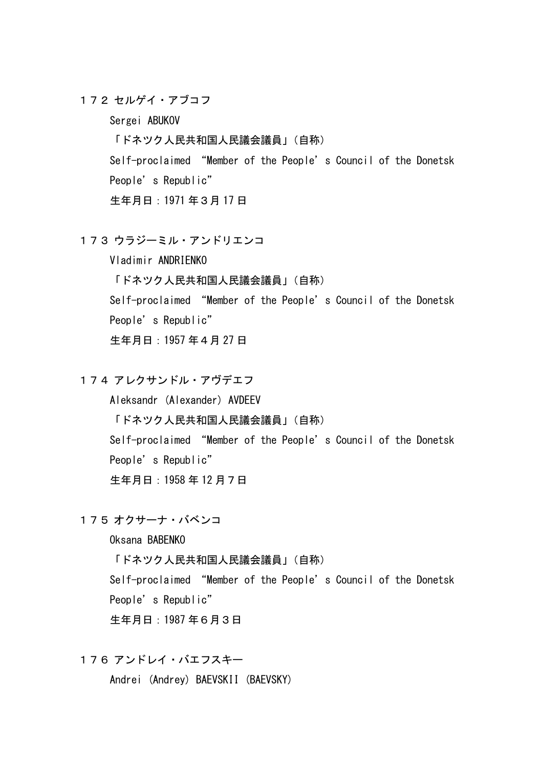172 セルゲイ・アブコフ

Sergei ABUKOV

「ドネツク人民共和国人民議会議員」(自称)

Self-proclaimed "Member of the People's Council of the Donetsk People's Republic"

生年月日:1971 年3月 17 日

173 ウラジーミル・アンドリエンコ

Vladimir ANDRIENKO 「ドネツク人民共和国人民議会議員」(自称) Self-proclaimed "Member of the People's Council of the Donetsk People's Republic" 生年月日:1957 年4月 27 日

174 アレクサンドル・アヴデエフ

Aleksandr (Alexander) AVDEEV 「ドネツク人民共和国人民議会議員」(自称) Self-proclaimed "Member of the People's Council of the Donetsk People's Republic" 生年月日:1958 年 12 月7日

175 オクサーナ・バベンコ

Oksana BABENKO

「ドネツク人民共和国人民議会議員」(自称)

Self-proclaimed "Member of the People's Council of the Donetsk People's Republic"

生年月日:1987 年6月3日

176 アンドレイ・バエフスキー

Andrei (Andrey) BAEVSKII (BAEVSKY)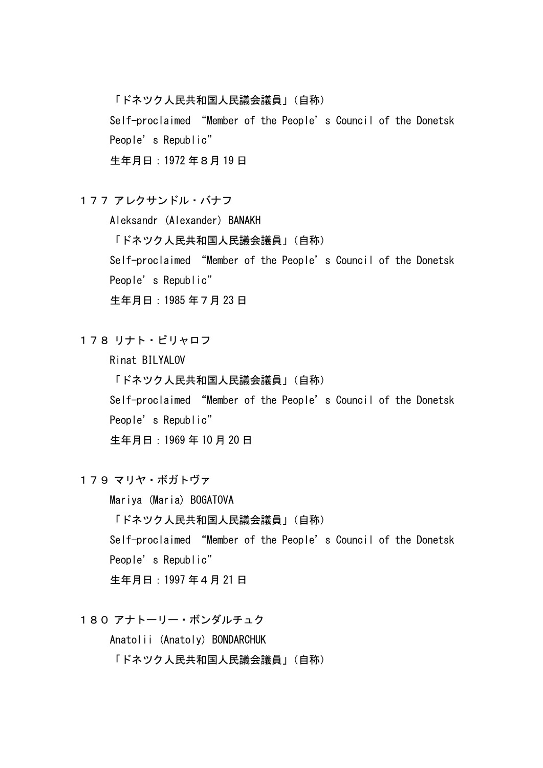「ドネツク人民共和国人民議会議員」(自称)

Self-proclaimed "Member of the People's Council of the Donetsk People's Republic"

生年月日:1972 年8月 19 日

177 アレクサンドル・バナフ

Aleksandr (Alexander) BANAKH

「ドネツク人民共和国人民議会議員」(自称)

Self-proclaimed "Member of the People's Council of the Donetsk

People's Republic"

生年月日:1985 年7月 23 日

178 リナト・ビリャロフ

Rinat BILYALOV

「ドネツク人民共和国人民議会議員」(自称)

Self-proclaimed "Member of the People's Council of the Donetsk People's Republic"

生年月日:1969 年 10 月 20 日

179 マリヤ・ボガトヴァ

Mariya (Maria) BOGATOVA 「ドネツク人民共和国人民議会議員」(自称) Self-proclaimed "Member of the People's Council of the Donetsk People's Republic" 生年月日:1997 年4月 21 日

180 アナトーリー・ボンダルチュク

Anatolii (Anatoly) BONDARCHUK

「ドネツク人民共和国人民議会議員」(自称)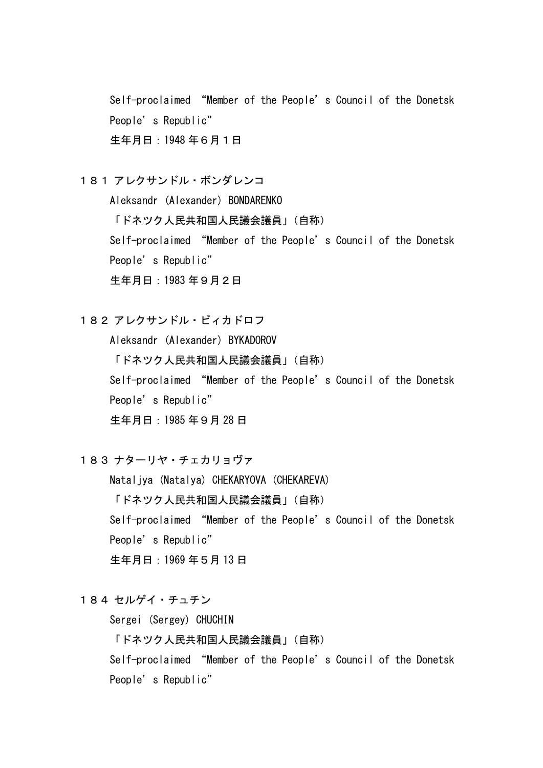Self-proclaimed "Member of the People's Council of the Donetsk People's Republic" 生年月日:1948 年6月1日

181 アレクサンドル・ボンダレンコ

Aleksandr (Alexander) BONDARENKO

「ドネツク人民共和国人民議会議員」(自称)

Self-proclaimed "Member of the People's Council of the Donetsk People's Republic"

生年月日:1983 年9月2日

182 アレクサンドル・ビィカドロフ

Aleksandr (Alexander) BYKADOROV 「ドネツク人民共和国人民議会議員」(自称) Self-proclaimed "Member of the People's Council of the Donetsk People's Republic" 生年月日:1985 年9月 28 日

183 ナターリヤ・チェカリョヴァ

Nataljya (Natalya) CHEKARYOVA (CHEKAREVA) 「ドネツク人民共和国人民議会議員」(自称) Self-proclaimed "Member of the People's Council of the Donetsk People's Republic" 生年月日:1969 年5月 13 日

184 セルゲイ・チュチン

Sergei (Sergey) CHUCHIN

「ドネツク人民共和国人民議会議員」(自称)

Self-proclaimed "Member of the People's Council of the Donetsk People's Republic"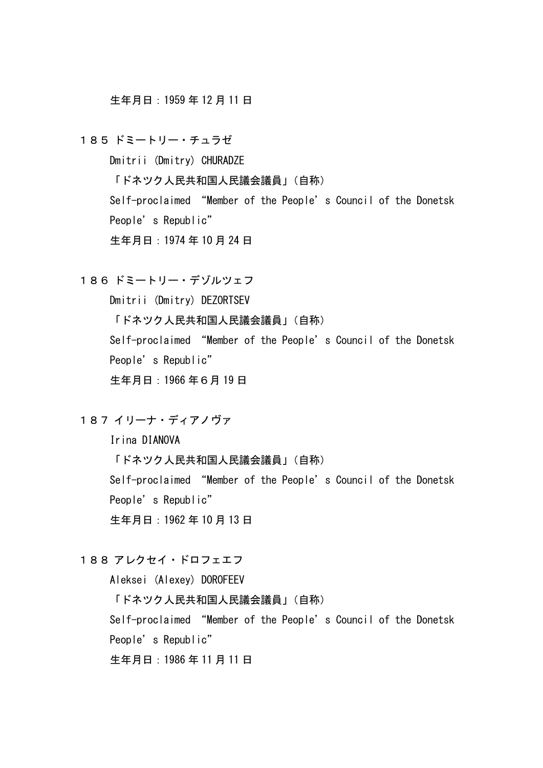生年月日:1959 年 12 月 11 日

185 ドミートリー・チュラゼ Dmitrii (Dmitry) CHURADZE 「ドネツク人民共和国人民議会議員」(自称) Self-proclaimed "Member of the People's Council of the Donetsk People's Republic" 生年月日:1974 年 10 月 24 日

186 ドミートリー・デゾルツェフ Dmitrii (Dmitry) DEZORTSEV 「ドネツク人民共和国人民議会議員」(自称) Self-proclaimed "Member of the People's Council of the Donetsk People's Republic" 生年月日:1966 年6月 19 日

187 イリーナ・ディアノヴァ

Irina DIANOVA

「ドネツク人民共和国人民議会議員」(自称) Self-proclaimed "Member of the People's Council of the Donetsk

People's Republic"

生年月日:1962 年 10 月 13 日

188 アレクセイ・ドロフェエフ

Aleksei (Alexey) DOROFEEV

「ドネツク人民共和国人民議会議員」(自称)

Self-proclaimed "Member of the People's Council of the Donetsk

People's Republic"

生年月日:1986 年 11 月 11 日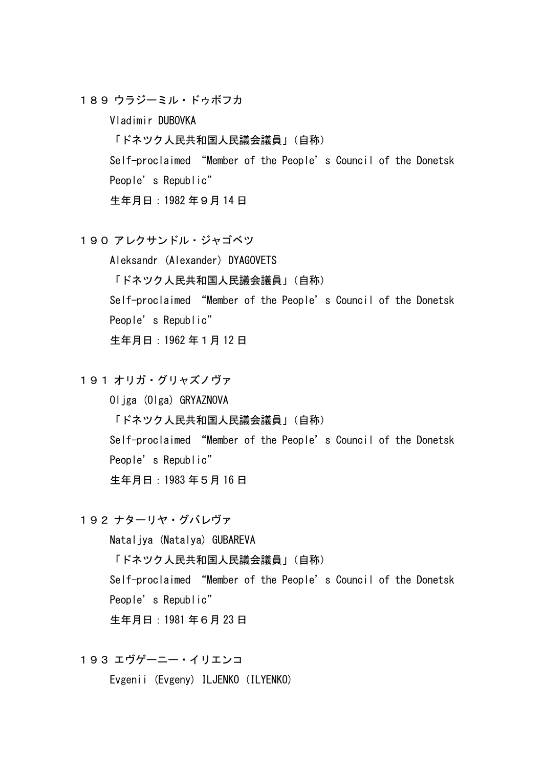189 ウラジーミル・ドゥボフカ

Vladimir DUBOVKA

「ドネツク人民共和国人民議会議員」(自称)

Self-proclaimed "Member of the People's Council of the Donetsk People's Republic"

生年月日:1982 年9月 14 日

190 アレクサンドル・ジャゴベツ

Aleksandr (Alexander) DYAGOVETS 「ドネツク人民共和国人民議会議員」(自称) Self-proclaimed "Member of the People's Council of the Donetsk People's Republic" 生年月日:1962 年1月 12 日

191 オリガ・グリャズノヴァ

Oljga (Olga) GRYAZNOVA 「ドネツク人民共和国人民議会議員」(自称) Self-proclaimed "Member of the People's Council of the Donetsk People's Republic" 生年月日:1983 年5月 16 日

192 ナターリヤ・グバレヴァ

Nataliya (Natalya) GUBAREVA 「ドネツク人民共和国人民議会議員」(自称) Self-proclaimed "Member of the People's Council of the Donetsk People's Republic" 生年月日:1981 年6月 23 日

193 エヴゲーニー・イリエンコ

Evgenii (Evgeny) ILJENKO (ILYENKO)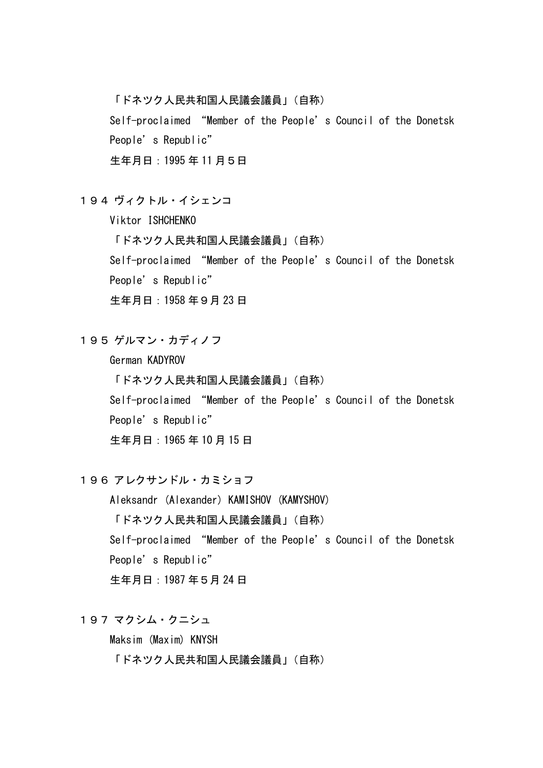「ドネツク人民共和国人民議会議員」(自称)

Self-proclaimed "Member of the People's Council of the Donetsk People's Republic"

生年月日:1995 年 11 月5日

194 ヴィクトル・イシェンコ

Viktor ISHCHENKO 「ドネツク人民共和国人民議会議員」(自称) Self-proclaimed "Member of the People's Council of the Donetsk People's Republic"

生年月日:1958 年9月 23 日

195 ゲルマン・カディノフ

German KADYROV

「ドネツク人民共和国人民議会議員」(自称)

Self-proclaimed "Member of the People's Council of the Donetsk People's Republic"

生年月日:1965 年 10 月 15 日

196 アレクサンドル・カミショフ

Aleksandr (Alexander) KAMISHOV (KAMYSHOV) 「ドネツク人民共和国人民議会議員」(自称) Self-proclaimed "Member of the People's Council of the Donetsk People's Republic" 生年月日:1987 年5月 24 日

197 マクシム・クニシュ

Maksim (Maxim) KNYSH 「ドネツク人民共和国人民議会議員」(自称)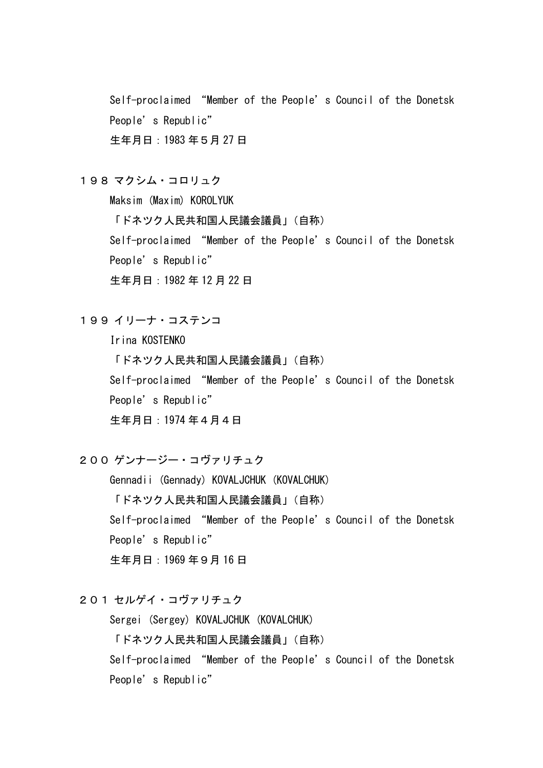Self-proclaimed "Member of the People's Council of the Donetsk People's Republic" 生年月日:1983 年5月 27 日

198 マクシム・コロリュク

Maksim (Maxim) KOROLYUK

「ドネツク人民共和国人民議会議員」(自称)

Self-proclaimed "Member of the People's Council of the Donetsk People's Republic"

生年月日:1982 年 12 月 22 日

199 イリーナ・コステンコ

Irina KOSTENKO 「ドネツク人民共和国人民議会議員」(自称) Self-proclaimed "Member of the People's Council of the Donetsk People's Republic" 生年月日:1974 年4月4日

200 ゲンナージー・コヴァリチュク

Gennadii (Gennady) KOVALJCHUK (KOVALCHUK) 「ドネツク人民共和国人民議会議員」(自称) Self-proclaimed "Member of the People's Council of the Donetsk People's Republic" 生年月日:1969 年9月 16 日

201 セルゲイ・コヴァリチュク

Sergei (Sergey) KOVALJCHUK (KOVALCHUK) 「ドネツク人民共和国人民議会議員」(自称) Self-proclaimed "Member of the People's Council of the Donetsk People's Republic"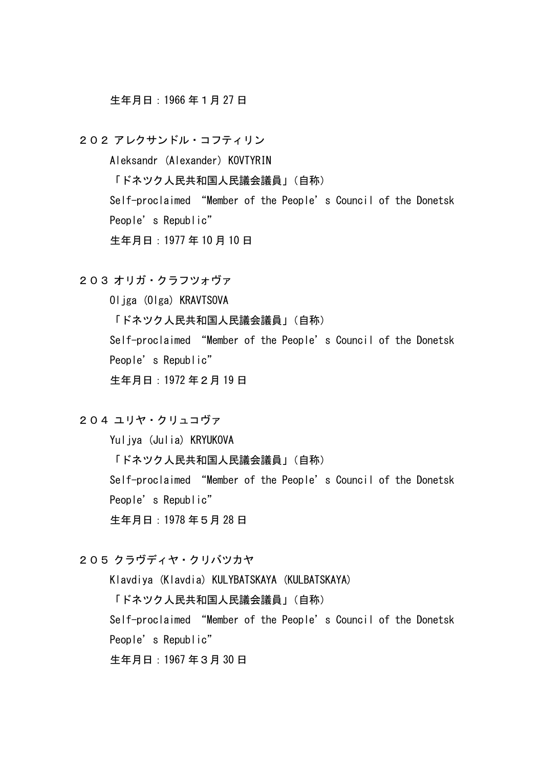### 生年月日:1966 年1月 27 日

202 アレクサンドル・コフティリン

Aleksandr (Alexander) KOVTYRIN 「ドネツク人民共和国人民議会議員」(自称) Self-proclaimed "Member of the People's Council of the Donetsk People's Republic" 生年月日:1977 年 10 月 10 日

203 オリガ・クラフツォヴァ

Oljga (Olga) KRAVTSOVA 「ドネツク人民共和国人民議会議員」(自称) Self-proclaimed "Member of the People's Council of the Donetsk People's Republic" 生年月日:1972 年2月 19 日

204 ユリヤ・クリュコヴァ

Yuliya (Julia) KRYUKOVA 「ドネツク人民共和国人民議会議員」(自称) Self-proclaimed "Member of the People's Council of the Donetsk People's Republic" 生年月日:1978 年5月 28 日

205 クラヴディヤ・クリバツカヤ

Klavdiya (Klavdia) KULYBATSKAYA (KULBATSKAYA)

「ドネツク人民共和国人民議会議員」(自称)

Self-proclaimed "Member of the People's Council of the Donetsk

People's Republic"

生年月日:1967 年3月 30 日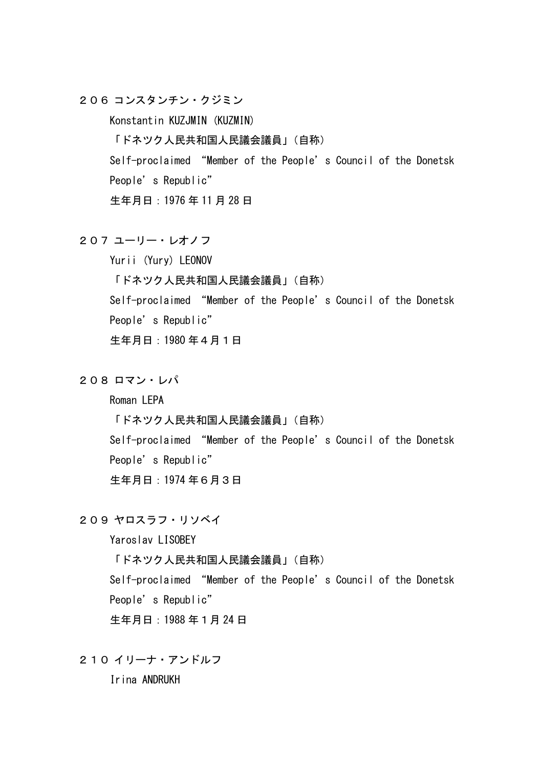206 コンスタンチン・クジミン

Konstantin KUZJMIN (KUZMIN)

「ドネツク人民共和国人民議会議員」(自称)

Self-proclaimed "Member of the People's Council of the Donetsk

People's Republic"

生年月日:1976 年 11 月 28 日

## 207 ユーリー・レオノフ

Yurii (Yury) LEONOV 「ドネツク人民共和国人民議会議員」(自称) Self-proclaimed "Member of the People's Council of the Donetsk People's Republic" 生年月日:1980 年4月1日

208 ロマン・レパ

Roman LEPA

「ドネツク人民共和国人民議会議員」(自称)

Self-proclaimed "Member of the People's Council of the Donetsk People's Republic"

生年月日:1974 年6月3日

209 ヤロスラフ・リソベイ

Yaroslav LISOBEY

「ドネツク人民共和国人民議会議員」(自称)

Self-proclaimed "Member of the People's Council of the Donetsk People's Republic"

生年月日:1988 年1月 24 日

210 イリーナ・アンドルフ

Irina ANDRUKH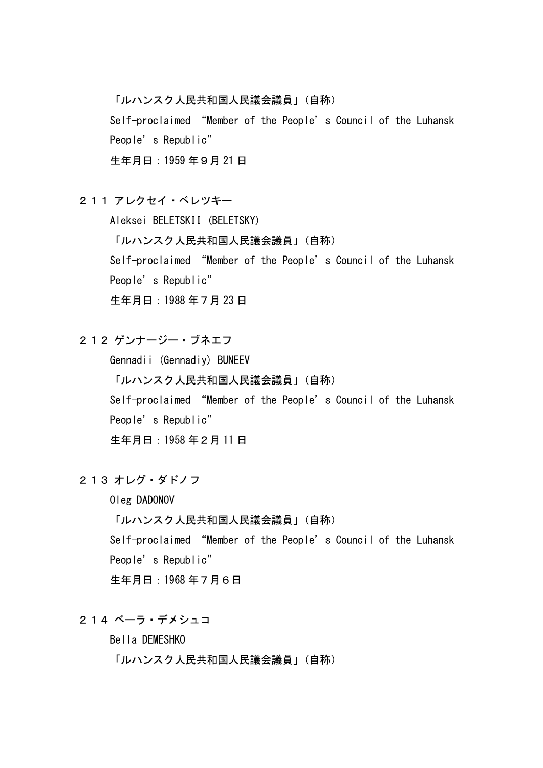「ルハンスク人民共和国人民議会議員」(自称)

Self-proclaimed "Member of the People's Council of the Luhansk People's Republic"

生年月日:1959 年9月 21 日

211 アレクセイ・ベレツキー

Aleksei BELETSKII (BELETSKY)

「ルハンスク人民共和国人民議会議員」(自称)

Self-proclaimed "Member of the People's Council of the Luhansk

People's Republic"

生年月日:1988 年7月 23 日

212 ゲンナージー・ブネエフ

Gennadii (Gennadiy) BUNEEV 「ルハンスク人民共和国人民議会議員」(自称) Self-proclaimed "Member of the People's Council of the Luhansk People's Republic" 生年月日:1958 年2月 11 日

213 オレグ・ダドノフ

Oleg DADONOV 「ルハンスク人民共和国人民議会議員」(自称) Self-proclaimed "Member of the People's Council of the Luhansk People's Republic" 生年月日:1968 年7月6日

214 ベーラ・デメシュコ

Bella DEMESHKO

「ルハンスク人民共和国人民議会議員」(自称)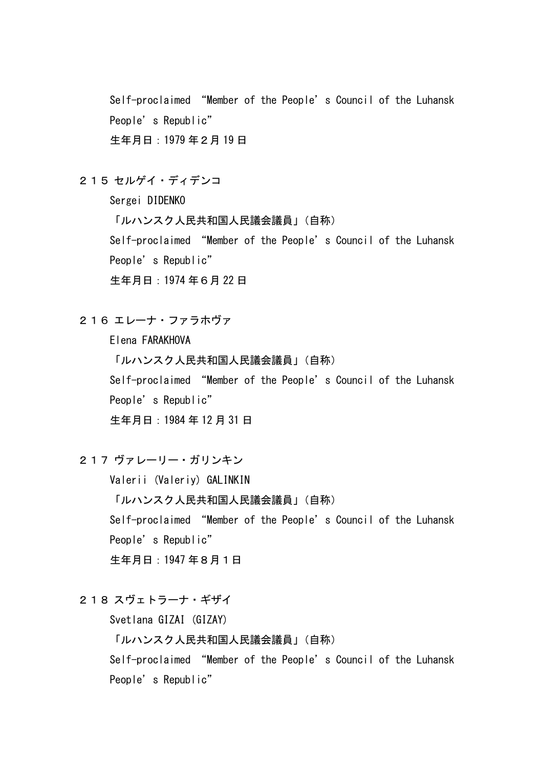Self-proclaimed "Member of the People's Council of the Luhansk People's Republic" 生年月日:1979 年2月 19 日

215 セルゲイ・ディデンコ

Sergei DIDENKO

「ルハンスク人民共和国人民議会議員」(自称)

Self-proclaimed "Member of the People's Council of the Luhansk People's Republic"

生年月日:1974 年6月 22 日

216 エレーナ・ファラホヴァ

Elena FARAKHOVA 「ルハンスク人民共和国人民議会議員」(自称) Self-proclaimed "Member of the People's Council of the Luhansk People's Republic" 生年月日:1984 年 12 月 31 日

217 ヴァレーリー・ガリンキン

Valerii (Valeriy) GALINKIN

「ルハンスク人民共和国人民議会議員」(自称)

Self-proclaimed "Member of the People's Council of the Luhansk People's Republic"

生年月日:1947 年8月1日

218 スヴェトラーナ・ギザイ

Svetlana GIZAI (GIZAY)

「ルハンスク人民共和国人民議会議員」(自称)

Self-proclaimed "Member of the People's Council of the Luhansk People's Republic"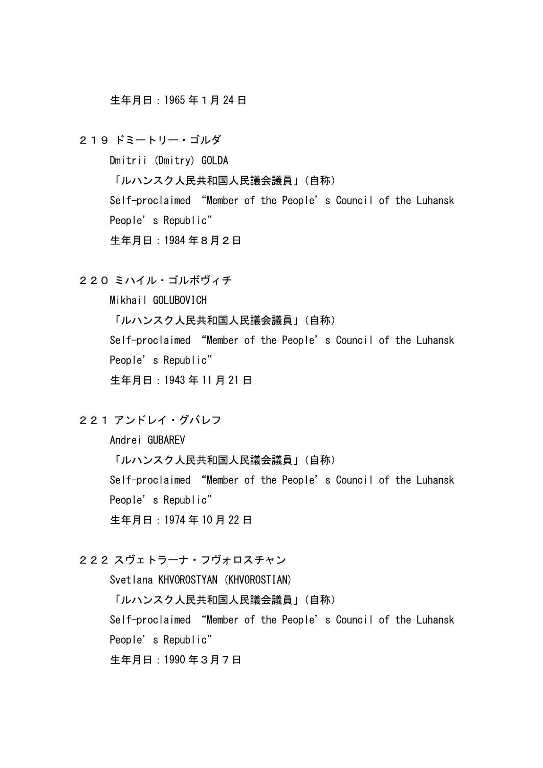生年月日:1965 年1月 24 日

219 ドミートリー・ゴルダ Dmitrii (Dmitry) GOLDA 「ルハンスク人民共和国人民議会議員」(自称) Self-proclaimed "Member of the People's Council of the Luhansk People's Republic" 生年月日:1984 年8月2日

220 ミハイル・ゴルボヴィチ

Mikhail GOLUBOVICH

「ルハンスク人民共和国人民議会議員」(自称)

Self-proclaimed "Member of the People's Council of the Luhansk People's Republic"

生年月日:1943 年 11 月 21 日

221 アンドレイ・グバレフ

Andrei GUBAREV

「ルハンスク人民共和国人民議会議員」(自称)

Self-proclaimed "Member of the People's Council of the Luhansk People's Republic"

生年月日:1974 年 10 月 22 日

## 222 スヴェトラーナ・フヴォロスチャン

Svetlana KHVOROSTYAN (KHVOROSTIAN)

「ルハンスク人民共和国人民議会議員」(自称)

Self-proclaimed "Member of the People's Council of the Luhansk

People's Republic"

生年月日:1990 年3月7日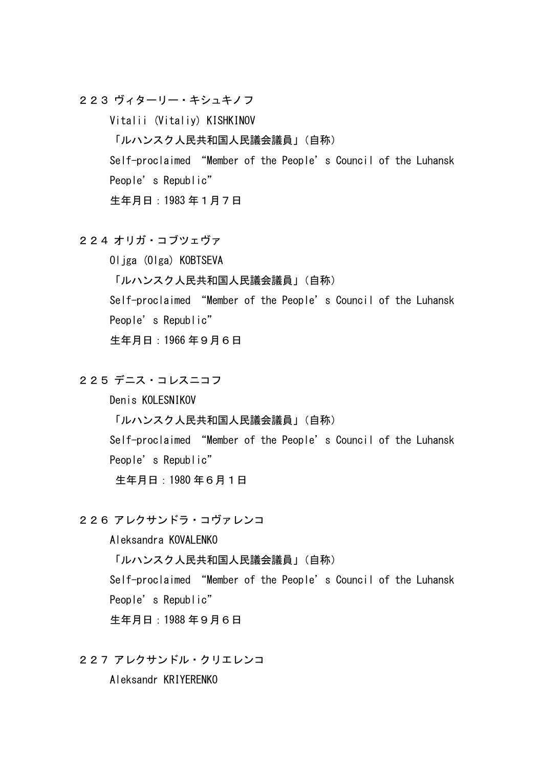223 ヴィターリー・キシュキノフ

Vitalii (Vitaliy) KISHKINOV 「ルハンスク人民共和国人民議会議員」(自称) Self-proclaimed "Member of the People's Council of the Luhansk People's Republic" 生年月日:1983 年1月7日

## 224 オリガ・コブツェヴァ

Oljga (Olga) KOBTSEVA 「ルハンスク人民共和国人民議会議員」(自称) Self-proclaimed "Member of the People's Council of the Luhansk People's Republic" 生年月日:1966 年9月6日

225 デニス・コレスニコフ

Denis KOLESNIKOV

「ルハンスク人民共和国人民議会議員」(自称)

Self-proclaimed "Member of the People's Council of the Luhansk People's Republic"

生年月日:1980 年6月1日

226 アレクサンドラ・コヴァレンコ

Aleksandra KOVALENKO

「ルハンスク人民共和国人民議会議員」(自称)

Self-proclaimed "Member of the People's Council of the Luhansk People's Republic"

生年月日:1988 年9月6日

227 アレクサンドル・クリエレンコ

Aleksandr KRIYERENKO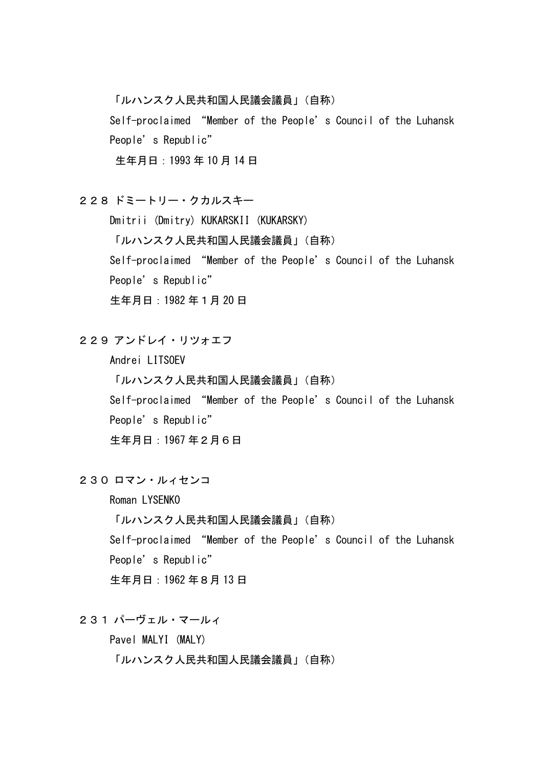「ルハンスク人民共和国人民議会議員」(自称)

Self-proclaimed "Member of the People's Council of the Luhansk People's Republic"

生年月日:1993 年 10 月 14 日

228 ドミートリー・クカルスキー

Dmitrii (Dmitry) KUKARSKII (KUKARSKY) 「ルハンスク人民共和国人民議会議員」(自称) Self-proclaimed "Member of the People's Council of the Luhansk People's Republic" 生年月日:1982 年1月 20 日

229 アンドレイ・リツォエフ

Andrei LITSOEV 「ルハンスク人民共和国人民議会議員」(自称) Self-proclaimed "Member of the People's Council of the Luhansk People's Republic" 生年月日:1967 年2月6日

230 ロマン・ルィセンコ

Roman LYSENKO 「ルハンスク人民共和国人民議会議員」(自称) Self-proclaimed "Member of the People's Council of the Luhansk People's Republic" 生年月日:1962 年8月 13 日

231 パーヴェル・マールィ

Pavel MALYI (MALY)

「ルハンスク人民共和国人民議会議員」(自称)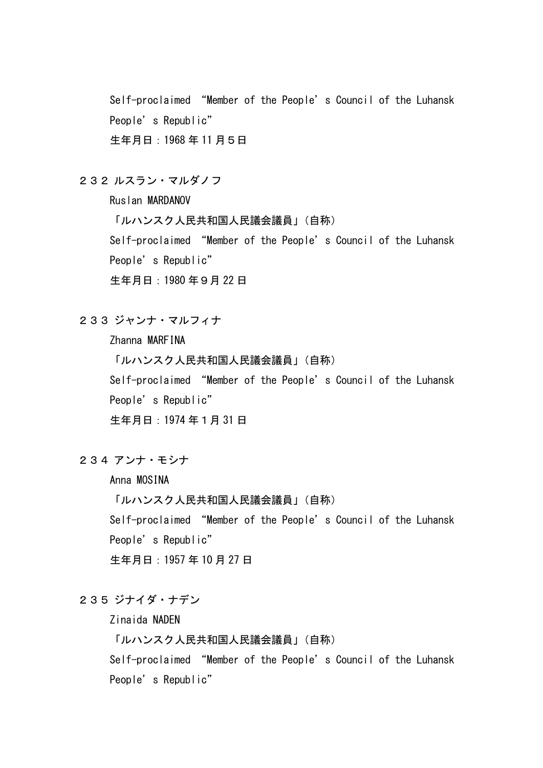Self-proclaimed "Member of the People's Council of the Luhansk People's Republic" 生年月日:1968 年 11 月5日

232 ルスラン・マルダノフ

Ruslan MARDANOV

「ルハンスク人民共和国人民議会議員」(自称)

Self-proclaimed "Member of the People's Council of the Luhansk People's Republic"

生年月日:1980 年9月 22 日

233 ジャンナ・マルフィナ

Zhanna MARFINA

「ルハンスク人民共和国人民議会議員」(自称)

Self-proclaimed "Member of the People's Council of the Luhansk

People's Republic"

生年月日:1974 年1月 31 日

234 アンナ・モシナ

Anna MOSINA

「ルハンスク人民共和国人民議会議員」(自称)

Self-proclaimed "Member of the People's Council of the Luhansk People's Republic"

生年月日:1957 年 10 月 27 日

# 235 ジナイダ・ナデン

Zinaida NADEN

「ルハンスク人民共和国人民議会議員」(自称)

Self-proclaimed "Member of the People's Council of the Luhansk People's Republic"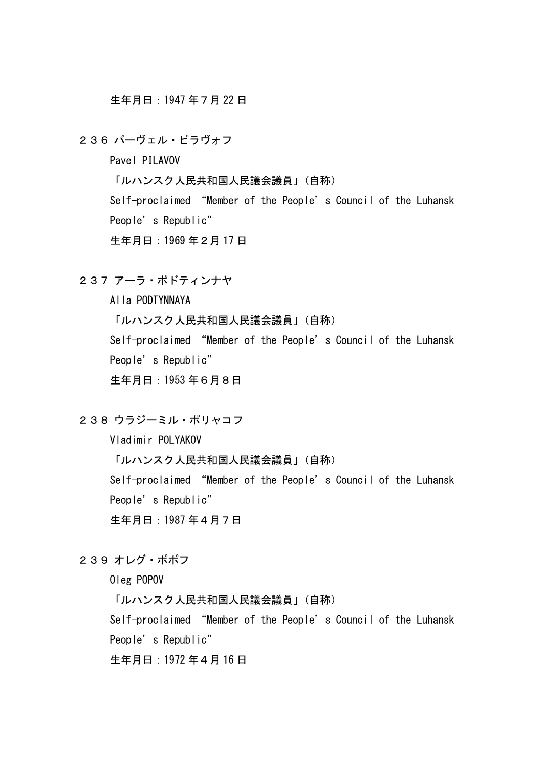生年月日:1947 年7月 22 日

236 パーヴェル・ピラヴォフ

Pavel PILAVOV

「ルハンスク人民共和国人民議会議員」(自称)

Self-proclaimed "Member of the People's Council of the Luhansk People's Republic"

生年月日:1969 年2月 17 日

237 アーラ・ポドティンナヤ

Alla PODTYNNAYA 「ルハンスク人民共和国人民議会議員」(自称) Self-proclaimed "Member of the People's Council of the Luhansk People's Republic" 生年月日:1953 年6月8日

238 ウラジーミル・ポリャコフ

Vladimir POLYAKOV

「ルハンスク人民共和国人民議会議員」(自称)

Self-proclaimed "Member of the People's Council of the Luhansk People's Republic"

生年月日:1987 年4月7日

239 オレグ・ポポフ

Oleg POPOV

「ルハンスク人民共和国人民議会議員」(自称)

Self-proclaimed "Member of the People's Council of the Luhansk

People's Republic"

生年月日:1972 年4月 16 日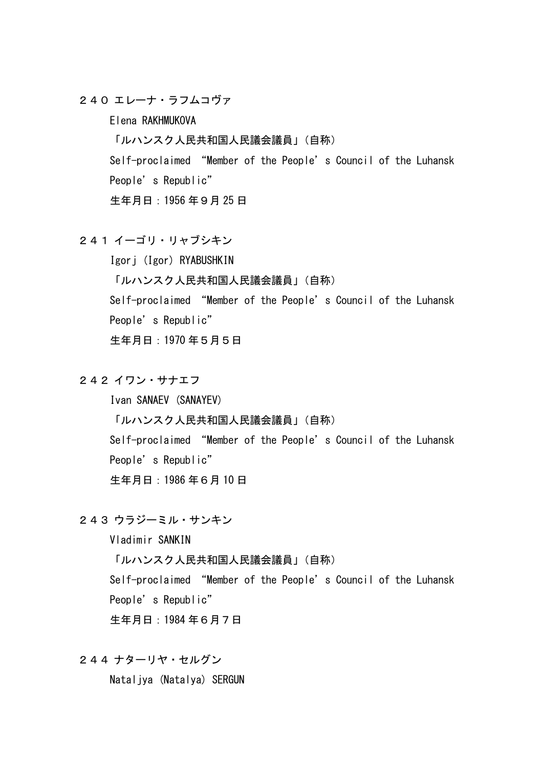240 エレーナ・ラフムコヴァ

Elena RAKHMUKOVA

「ルハンスク人民共和国人民議会議員」(自称)

Self-proclaimed "Member of the People's Council of the Luhansk

People's Republic"

生年月日:1956 年9月 25 日

241 イーゴリ・リャブシキン

Igorj (Igor) RYABUSHKIN 「ルハンスク人民共和国人民議会議員」(自称) Self-proclaimed "Member of the People's Council of the Luhansk People's Republic" 生年月日:1970 年5月5日

242 イワン・サナエフ

Ivan SANAEV (SANAYEV) 「ルハンスク人民共和国人民議会議員」(自称) Self-proclaimed "Member of the People's Council of the Luhansk People's Republic" 生年月日:1986 年6月 10 日

243 ウラジーミル・サンキン

Vladimir SANKIN 「ルハンスク人民共和国人民議会議員」(自称) Self-proclaimed "Member of the People's Council of the Luhansk People's Republic" 生年月日:1984 年6月7日

244 ナターリヤ・セルグン

Nataljya (Natalya) SERGUN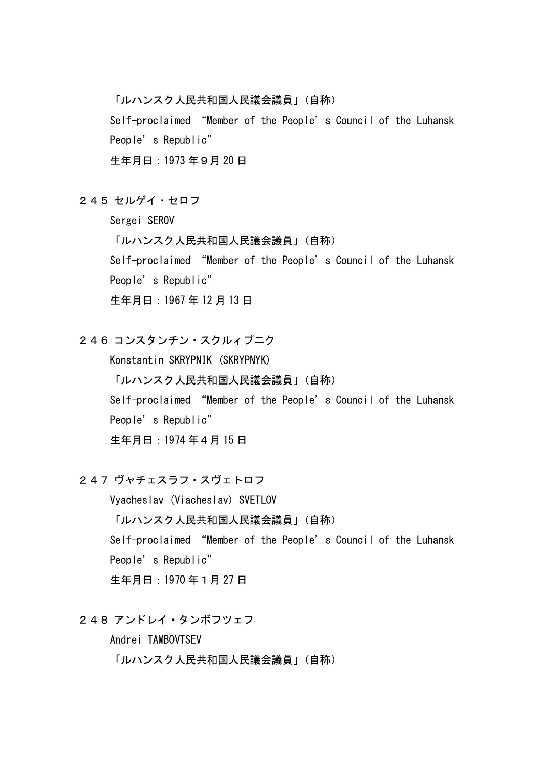「ルハンスク人民共和国人民議会議員」(自称)

Self-proclaimed "Member of the People's Council of the Luhansk People's Republic"

生年月日:1973 年9月 20 日

245 セルゲイ・セロフ

Sergei SEROV

「ルハンスク人民共和国人民議会議員」(自称)

Self-proclaimed "Member of the People's Council of the Luhansk

People's Republic"

生年月日:1967 年 12 月 13 日

246 コンスタンチン・スクルィプニク

Konstantin SKRYPNIK (SKRYPNYK) 「ルハンスク人民共和国人民議会議員」(自称) Self-proclaimed "Member of the People's Council of the Luhansk People's Republic" 生年月日:1974 年4月 15 日

247 ヴャチェスラフ・スヴェトロフ

Vyacheslav (Viacheslav) SVETLOV 「ルハンスク人民共和国人民議会議員」(自称) Self-proclaimed "Member of the People's Council of the Luhansk People's Republic" 生年月日:1970 年1月 27 日

248 アンドレイ・タンボフツェフ

Andrei TAMBOVTSEV 「ルハンスク人民共和国人民議会議員」(自称)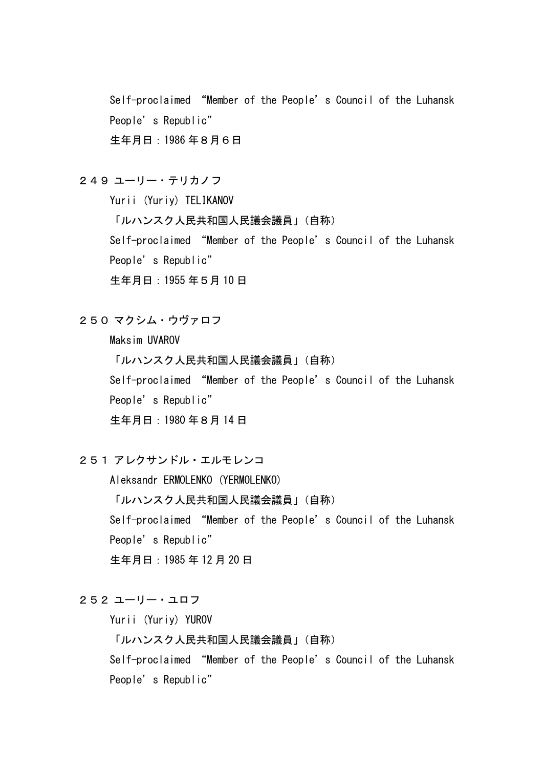Self-proclaimed "Member of the People's Council of the Luhansk People's Republic" 生年月日:1986 年8月6日

249 ユーリー・テリカノフ

Yurii (Yuriy) TELIKANOV 「ルハンスク人民共和国人民議会議員」(自称) Self-proclaimed "Member of the People's Council of the Luhansk People's Republic" 生年月日:1955 年5月 10 日

250 マクシム・ウヴァロフ

Maksim UVAROV 「ルハンスク人民共和国人民議会議員」(自称) Self-proclaimed "Member of the People's Council of the Luhansk People's Republic" 生年月日:1980 年8月 14 日

251 アレクサンドル・エルモレンコ

Aleksandr ERMOLENKO (YERMOLENKO) 「ルハンスク人民共和国人民議会議員」(自称) Self-proclaimed "Member of the People's Council of the Luhansk People's Republic" 生年月日:1985 年 12 月 20 日

### 252 ユーリー・ユロフ

Yurii (Yuriy) YUROV

「ルハンスク人民共和国人民議会議員」(自称)

Self-proclaimed "Member of the People's Council of the Luhansk People's Republic"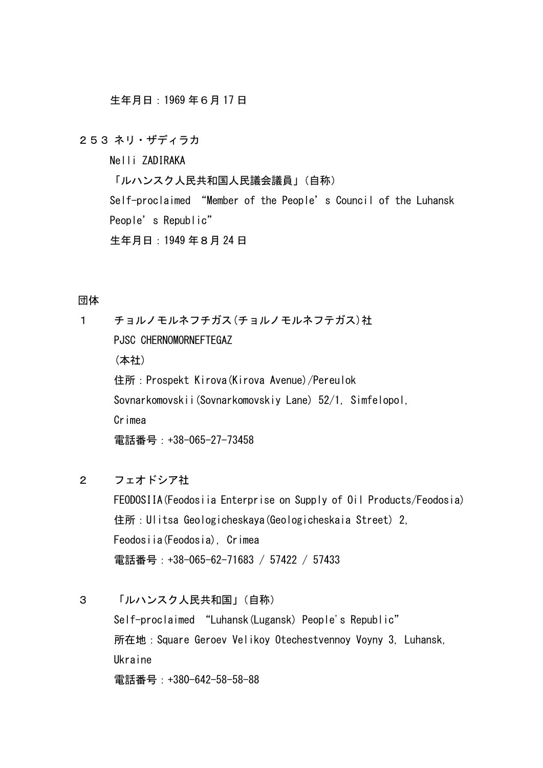生年月日:1969 年6月 17 日

253 ネリ・ザディラカ

Nelli ZADIRAKA

「ルハンスク人民共和国人民議会議員」(自称)

Self-proclaimed "Member of the People's Council of the Luhansk People's Republic" 生年月日:1949 年8月 24 日

#### 団体

1 チョルノモルネフチガス(チョルノモルネフテガス)社 PJSC CHERNOMORNEFTEGAZ (本社) 住所:Prospekt Kirova(Kirova Avenue)/Pereulok Sovnarkomovskii(Sovnarkomovskiy Lane) 52/1, Simfelopol, Crimea 電話番号:+38-065-27-73458

2 フェオドシア社

FEODOSIIA(Feodosiia Enterprise on Supply of Oil Products/Feodosia) 住所:Ulitsa Geologicheskaya(Geologicheskaia Street) 2, Feodosiia(Feodosia), Crimea 電話番号: +38-065-62-71683 / 57422 / 57433

3 「ルハンスク人民共和国」(自称)

Self-proclaimed "Luhansk(Lugansk) People's Republic" 所在地:Square Geroev Velikoy Otechestvennoy Voyny 3, Luhansk, Ukraine 電話番号:+380-642-58-58-88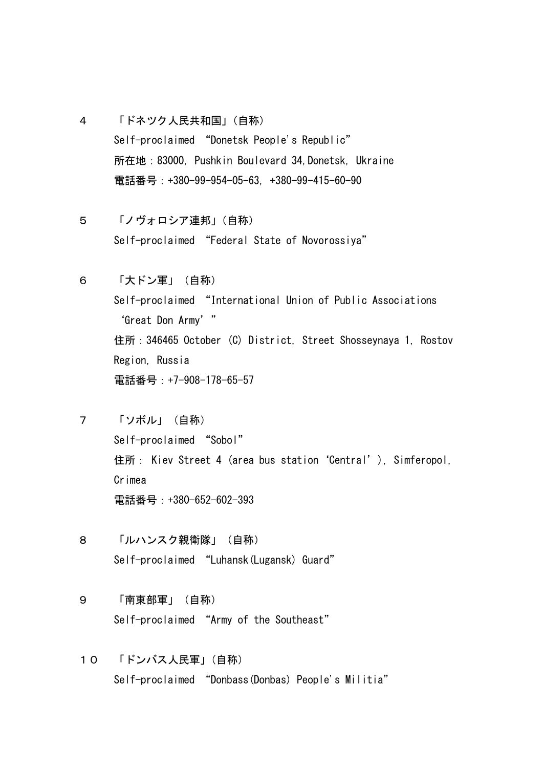- 4 「ドネツク人民共和国」(自称) Self-proclaimed "Donetsk People's Republic" 所在地:83000, Pushkin Boulevard 34,Donetsk, Ukraine 電話番号:+380-99-954-05-63, +380-99-415-60-90
- 5 「ノヴォロシア連邦」(自称) Self-proclaimed "Federal State of Novorossiya"
- 6 「大ドン軍」(自称) Self-proclaimed "International Union of Public Associations 'Great Don Army' " 住所:346465 October (C) District, Street Shosseynaya 1, Rostov Region, Russia 電話番号: +7-908-178-65-57
- 7 「ソボル」(自称) Self-proclaimed "Sobol" 住所: Kiev Street 4 (area bus station 'Central'), Simferopol, Crimea 電話番号:+380-652-602-393
- 8 「ルハンスク親衛隊」(自称) Self-proclaimed "Luhansk(Lugansk) Guard"
- 9 「南東部軍」(自称) Self-proclaimed "Army of the Southeast"
- 10 「ドンバス人民軍」(自称) Self-proclaimed "Donbass(Donbas) People's Militia"